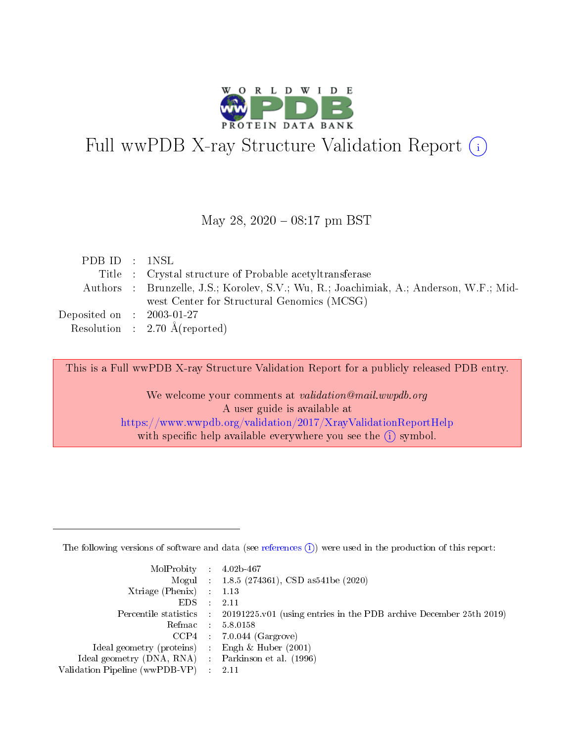

# Full wwPDB X-ray Structure Validation Report (i)

#### May 28, 2020 - 08:17 pm BST

| PDB ID : 1NSL                       |                                                                                        |
|-------------------------------------|----------------------------------------------------------------------------------------|
|                                     | Title : Crystal structure of Probable acetyltransferase                                |
|                                     | Authors : Brunzelle, J.S.; Korolev, S.V.; Wu, R.; Joachimiak, A.; Anderson, W.F.; Mid- |
|                                     | west Center for Structural Genomics (MCSG)                                             |
| Deposited on $\,$ : 2003-01-27 $\,$ |                                                                                        |
|                                     | Resolution : $2.70 \text{ Å}$ (reported)                                               |

This is a Full wwPDB X-ray Structure Validation Report for a publicly released PDB entry.

We welcome your comments at validation@mail.wwpdb.org A user guide is available at <https://www.wwpdb.org/validation/2017/XrayValidationReportHelp> with specific help available everywhere you see the  $(i)$  symbol.

The following versions of software and data (see [references](https://www.wwpdb.org/validation/2017/XrayValidationReportHelp#references)  $(1)$ ) were used in the production of this report:

| $MolProbability$ : 4.02b-467                      |                              |                                                                                            |
|---------------------------------------------------|------------------------------|--------------------------------------------------------------------------------------------|
|                                                   |                              | Mogul : $1.8.5$ (274361), CSD as 541be (2020)                                              |
| Xtriage (Phenix) $: 1.13$                         |                              |                                                                                            |
| EDS –                                             | $\sim$                       | -2.11                                                                                      |
|                                                   |                              | Percentile statistics : 20191225.v01 (using entries in the PDB archive December 25th 2019) |
| Refmac : 5.8.0158                                 |                              |                                                                                            |
| CCP4                                              |                              | $7.0.044$ (Gargrove)                                                                       |
| Ideal geometry (proteins)                         | $\mathcal{L}_{\mathrm{eff}}$ | Engh & Huber $(2001)$                                                                      |
| Ideal geometry (DNA, RNA) Parkinson et al. (1996) |                              |                                                                                            |
| Validation Pipeline (wwPDB-VP) : 2.11             |                              |                                                                                            |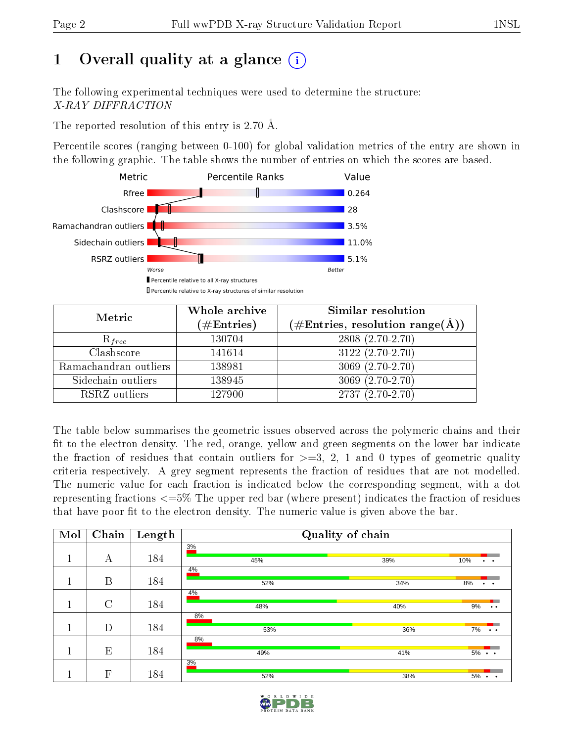## 1 [O](https://www.wwpdb.org/validation/2017/XrayValidationReportHelp#overall_quality)verall quality at a glance  $(i)$

The following experimental techniques were used to determine the structure: X-RAY DIFFRACTION

The reported resolution of this entry is 2.70 Å.

Percentile scores (ranging between 0-100) for global validation metrics of the entry are shown in the following graphic. The table shows the number of entries on which the scores are based.



| Metric                | Whole archive<br>$(\#\mathrm{Entries})$ | Similar resolution<br>$(\#\text{Entries}, \text{resolution range}(\textup{\AA}))$ |  |  |
|-----------------------|-----------------------------------------|-----------------------------------------------------------------------------------|--|--|
| $R_{free}$            | 130704                                  | 2808 (2.70-2.70)                                                                  |  |  |
| Clashscore            | 141614                                  | $3122(2.70-2.70)$                                                                 |  |  |
| Ramachandran outliers | 138981                                  | 3069 (2.70-2.70)                                                                  |  |  |
| Sidechain outliers    | 138945                                  | $3069(2.70-2.70)$                                                                 |  |  |
| RSRZ outliers         | 127900                                  | $2737(2.70-2.70)$                                                                 |  |  |

The table below summarises the geometric issues observed across the polymeric chains and their fit to the electron density. The red, orange, yellow and green segments on the lower bar indicate the fraction of residues that contain outliers for  $>=3, 2, 1$  and 0 types of geometric quality criteria respectively. A grey segment represents the fraction of residues that are not modelled. The numeric value for each fraction is indicated below the corresponding segment, with a dot representing fractions  $\epsilon=5\%$  The upper red bar (where present) indicates the fraction of residues that have poor fit to the electron density. The numeric value is given above the bar.

| Mol | $\overline{\text{Chain}}$ | Length | Quality of chain |     |                             |  |  |  |
|-----|---------------------------|--------|------------------|-----|-----------------------------|--|--|--|
|     | А                         | 184    | 3%               |     |                             |  |  |  |
|     |                           |        | 45%<br>4%        | 39% | 10%<br>$\ddot{\phantom{a}}$ |  |  |  |
|     | B                         | 184    | 52%              | 34% | 8%<br>$\ddot{\phantom{1}}$  |  |  |  |
|     | $\rm C$                   | 184    | 4%<br>48%        | 40% | 9%<br>$\ddot{\phantom{a}}$  |  |  |  |
|     | D                         | 184    | 8%<br>53%        | 36% | 7%<br>$\cdots$              |  |  |  |
|     | E                         | 184    | 8%<br>49%        | 41% | $5\% \cdot \cdot$           |  |  |  |
|     | F                         | 184    | 3%<br>52%        | 38% | $5\% \cdot \cdot$           |  |  |  |

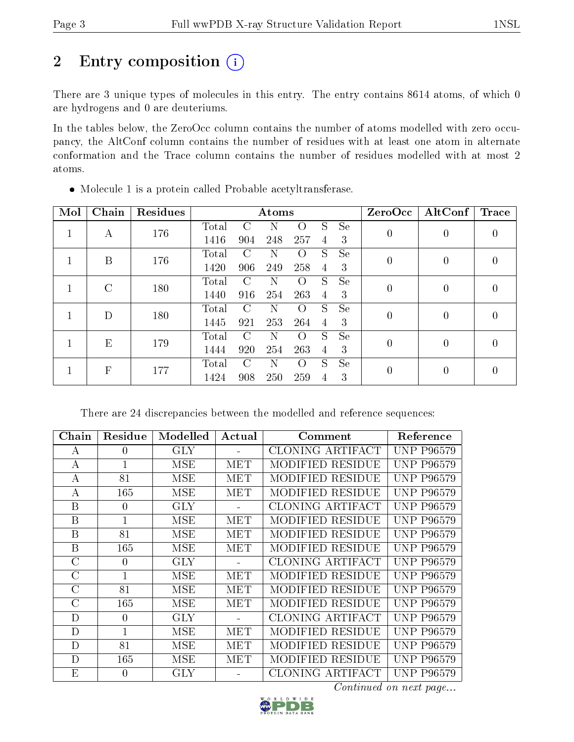## 2 Entry composition (i)

There are 3 unique types of molecules in this entry. The entry contains 8614 atoms, of which 0 are hydrogens and 0 are deuteriums.

In the tables below, the ZeroOcc column contains the number of atoms modelled with zero occupancy, the AltConf column contains the number of residues with at least one atom in alternate conformation and the Trace column contains the number of residues modelled with at most 2 atoms.

| Mol | Chain        | Residues |       | Atoms         |     |                  |                |           | ZeroOcc          | $\vert$ AltConf $\vert$ | $\operatorname{Trace}$ |
|-----|--------------|----------|-------|---------------|-----|------------------|----------------|-----------|------------------|-------------------------|------------------------|
| 1   | А            | 176      | Total | $\mathcal{C}$ |     |                  | S              | <b>Se</b> | 0                | 0                       | 0                      |
|     |              |          | 1416  | 904           | 248 | 257              | $\overline{4}$ | 3         |                  |                         |                        |
|     | B            | 176      | Total | C             | N   | $\left( \right)$ | S              | Se        | $\boldsymbol{0}$ | $\theta$                | $\theta$               |
|     |              |          | 1420  | 906           | 249 | 258              | 4              | 3         |                  |                         |                        |
|     | C            | 180      | Total | $\mathcal{C}$ | N   | $\left( \right)$ | S.             | <b>Se</b> | 0                | $\overline{0}$          | $\left( \right)$       |
|     |              |          | 1440  | 916           | 254 | 263              | 4              | 3         |                  |                         |                        |
|     | D            | 180      | Total | C             | N   | $\left($         | S              | <b>Se</b> | 0                | 0                       | $\Omega$               |
|     |              |          | 1445  | 921           | 253 | 264              | 4              | -3        |                  |                         |                        |
|     | E            | 179      | Total | $\mathcal{C}$ |     | $\left( \right)$ | S              | <b>Se</b> | 0                | 0                       | $\Omega$               |
|     |              |          | 1444  | 920           | 254 | 263              | 4              | 3         |                  |                         |                        |
|     | $\mathbf{F}$ |          | Total | $\cap$        | N   | $\left( \right)$ | S              | <b>Se</b> | $\overline{0}$   | 0                       | $\left( \right)$       |
|     |              | 177      | 1424  | 908           | 250 | 259              | 4              | 3         |                  |                         |                        |

Molecule 1 is a protein called Probable acetyltransferase.

There are 24 discrepancies between the modelled and reference sequences:

| Chain        | Residue      | Modelled   | Actual | Comment                 | Reference         |
|--------------|--------------|------------|--------|-------------------------|-------------------|
| A            | $\theta$     | <b>GLY</b> |        | CLONING ARTIFACT        | <b>UNP P96579</b> |
| $\bf{A}$     | 1            | MSE        | MET    | MODIFIED RESIDUE        | <b>UNP P96579</b> |
| A            | 81           | <b>MSE</b> | MET    | <b>MODIFIED RESIDUE</b> | <b>UNP P96579</b> |
| А            | 165          | MSE        | MET    | MODIFIED RESIDUE        | <b>UNP P96579</b> |
| B            | $\theta$     | <b>GLY</b> |        | CLONING ARTIFACT        | <b>UNP P96579</b> |
| B            | $\mathbf{1}$ | MSE        | MET    | <b>MODIFIED RESIDUE</b> | <b>UNP P96579</b> |
| <sub>B</sub> | 81           | <b>MSE</b> | MET    | MODIFIED RESIDUE        | UNP P96579        |
| B            | 165          | MSE        | MET    | MODIFIED RESIDUE        | <b>UNP P96579</b> |
| $\rm C$      | $\theta$     | <b>GLY</b> |        | CLONING ARTIFACT        | <b>UNP P96579</b> |
| $\rm C$      |              | <b>MSE</b> | MET    | MODIFIED RESIDUE        | <b>UNP P96579</b> |
| $\rm C$      | 81           | MSE        | MET    | <b>MODIFIED RESIDUE</b> | <b>UNP P96579</b> |
| $\rm C$      | 165          | MSE        | MET    | <b>MODIFIED RESIDUE</b> | <b>UNP P96579</b> |
| D            | $\theta$     | <b>GLY</b> |        | CLONING ARTIFACT        | <b>UNP P96579</b> |
| D            | $\mathbf{1}$ | MSE        | MET    | MODIFIED RESIDUE        | <b>UNP P96579</b> |
| D            | 81           | <b>MSE</b> | MET    | <b>MODIFIED RESIDUE</b> | <b>UNP P96579</b> |
| D            | 165          | MSE        | MET    | MODIFIED RESIDUE        | <b>UNP P96579</b> |
| E            | 0            | GLY        |        | CLONING ARTIFACT        | <b>UNP P96579</b> |

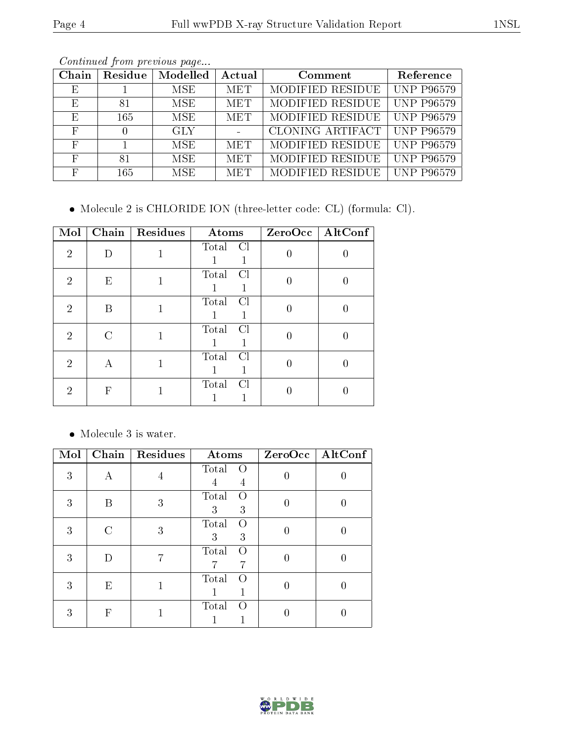| Chain      | Residue | Modelled   | Actual     | Comment          | Reference         |
|------------|---------|------------|------------|------------------|-------------------|
| E          |         | <b>MSE</b> | <b>MET</b> | MODIFIED RESIDUE | <b>UNP P96579</b> |
| E          | 81      | <b>MSE</b> | <b>MET</b> | MODIFIED RESIDUE | <b>UNP P96579</b> |
| E          | 165     | <b>MSE</b> | <b>MET</b> | MODIFIED RESIDUE | <b>UNP P96579</b> |
| $_{\rm F}$ |         | <b>GLY</b> |            | CLONING ARTIFACT | <b>UNP P96579</b> |
| F          |         | <b>MSE</b> | <b>MET</b> | MODIFIED RESIDUE | <b>UNP P96579</b> |
| F          | 81      | MSE.       | <b>MET</b> | MODIFIED RESIDUE | <b>UNP P96579</b> |
| F          | 165     | <b>MSE</b> | <b>MET</b> | MODIFIED RESIDUE | <b>UNP P96579</b> |

Molecule 2 is CHLORIDE ION (three-letter code: CL) (formula: Cl).

| Mol            |        | Chain   Residues | Atoms                   | ZeroOcc   AltConf |
|----------------|--------|------------------|-------------------------|-------------------|
| $\overline{2}$ |        |                  | Total<br>-Cl            |                   |
| 2              | E      |                  | Total<br>Cl             |                   |
| 2              | В      |                  | Total<br>Cl             |                   |
| $\overline{2}$ | $\cap$ |                  | Total<br><sup>C</sup> l |                   |
| 2              | А      |                  | Total<br>$\overline{C}$ |                   |
| 2              | F      |                  | Total<br>Cl             |                   |

• Molecule 3 is water.

| Mol |   | Chain   Residues | Atoms                               | $ZeroOcc \   \ AltConf$ |
|-----|---|------------------|-------------------------------------|-------------------------|
| 3   | А |                  | Total<br>$\left( \right)$<br>4      |                         |
| 3   | R | 3                | Total<br>$\left( \right)$<br>3<br>3 |                         |
| 3   | C | 3                | Total<br>$\left( \right)$<br>3<br>3 |                         |
| 3   |   |                  | Total<br>$\left( \right)$           |                         |
| 3   | Ε |                  | Total<br>$\left( \right)$           |                         |
| 3   | F |                  | Total<br>$\left( \right)$           |                         |

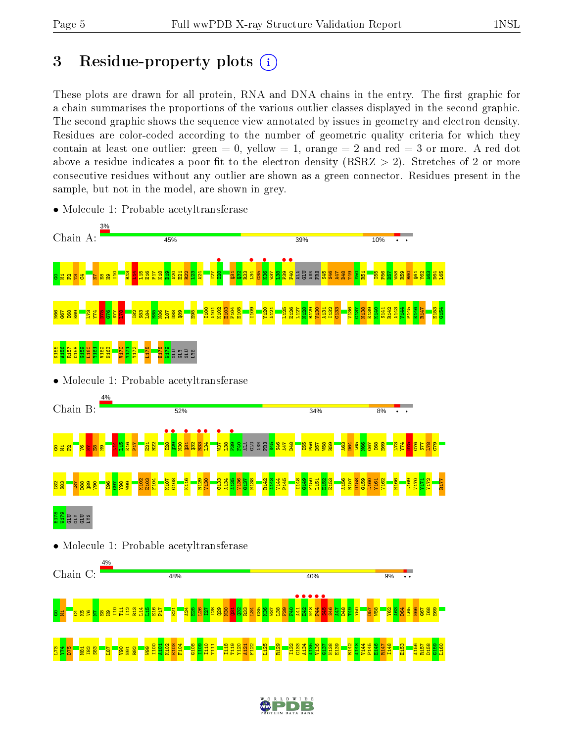## 3 Residue-property plots  $(i)$

These plots are drawn for all protein, RNA and DNA chains in the entry. The first graphic for a chain summarises the proportions of the various outlier classes displayed in the second graphic. The second graphic shows the sequence view annotated by issues in geometry and electron density. Residues are color-coded according to the number of geometric quality criteria for which they contain at least one outlier: green  $= 0$ , yellow  $= 1$ , orange  $= 2$  and red  $= 3$  or more. A red dot above a residue indicates a poor fit to the electron density (RSRZ  $> 2$ ). Stretches of 2 or more consecutive residues without any outlier are shown as a green connector. Residues present in the sample, but not in the model, are shown in grey.



• Molecule 1: Probable acetyltransferase

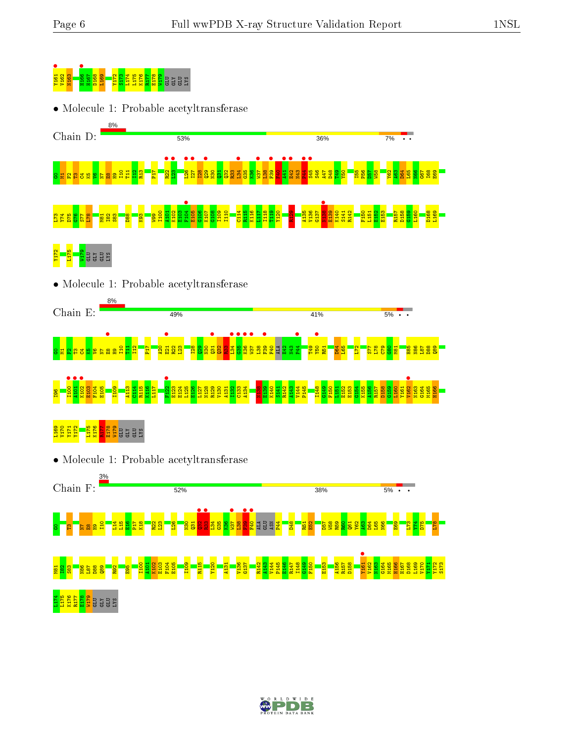

• Molecule 1: Probable acetyltransferase



• Molecule 1: Probable acetyltransferase





• Molecule 1: Probable acetyltransferase



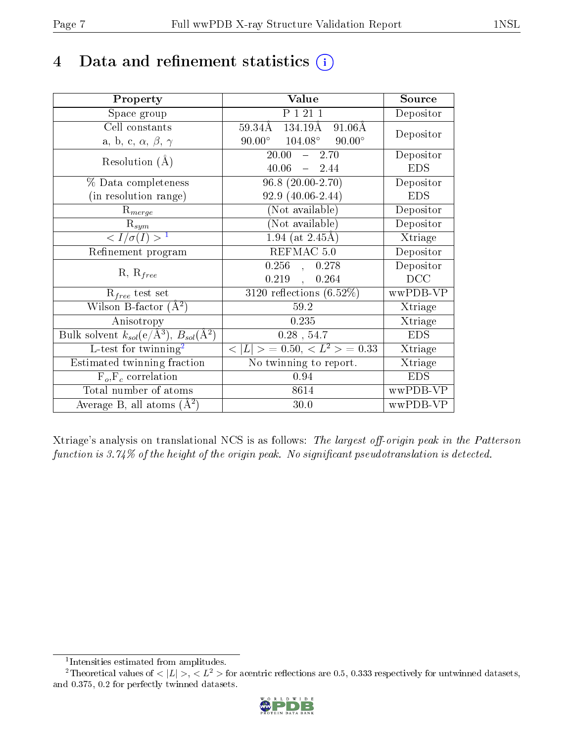### 4 Data and refinement statistics  $(i)$

| Property                                                         | Value                                            | Source     |
|------------------------------------------------------------------|--------------------------------------------------|------------|
| Space group                                                      | P 1 21 1                                         | Depositor  |
| Cell constants                                                   | 59.34Å 134.19Å<br>$91.06\text{\AA}$              | Depositor  |
| a, b, c, $\alpha$ , $\beta$ , $\gamma$                           | $90.00^{\circ}$ $104.08^{\circ}$ $90.00^{\circ}$ |            |
| Resolution $(A)$                                                 | $20.00^{-7}$<br>$-2.70$                          | Depositor  |
|                                                                  | $40.06 - 2.44$                                   | <b>EDS</b> |
| $\%$ Data completeness                                           | $96.8(20.00-2.70)$                               | Depositor  |
| (in resolution range)                                            | $92.9(40.06-2.44)$                               | <b>EDS</b> |
| $R_{merge}$                                                      | (Not available)                                  | Depositor  |
| $\mathrm{R}_{sym}$                                               | $(Not\ avariable)$                               | Depositor  |
| $\langle I/\sigma(I) \rangle^{-1}$                               | $1.94$ (at 2.45Å)                                | Xtriage    |
| Refinement program                                               | REFMAC 5.0                                       | Depositor  |
|                                                                  | $0.256$ , $0.278$                                | Depositor  |
| $R, R_{free}$                                                    | $0.219$ ,<br>0.264                               | DCC        |
| $R_{free}$ test set                                              | $3120$ reflections $(6.52\%)$                    | wwPDB-VP   |
| Wilson B-factor $(A^2)$                                          | 59.2                                             | Xtriage    |
| Anisotropy                                                       | 0.235                                            | Xtriage    |
| Bulk solvent $k_{sol}(\text{e}/\text{A}^3), B_{sol}(\text{A}^2)$ | $0.28$ , 54.7                                    | <b>EDS</b> |
| L-test for $\mathrm{twinning}^2$                                 | $< L >$ = 0.50, $< L2$ > = 0.33                  | Xtriage    |
| Estimated twinning fraction                                      | No twinning to report.                           | Xtriage    |
| $\overline{F_o}, \overline{F_c}$ correlation                     | 0.94                                             | <b>EDS</b> |
| Total number of atoms                                            | 8614                                             | wwPDB-VP   |
| Average B, all atoms $(A^2)$                                     | 30.0                                             | wwPDB-VP   |

Xtriage's analysis on translational NCS is as follows: The largest off-origin peak in the Patterson function is  $3.74\%$  of the height of the origin peak. No significant pseudotranslation is detected.

<sup>&</sup>lt;sup>2</sup>Theoretical values of  $\langle |L| \rangle$ ,  $\langle L^2 \rangle$  for acentric reflections are 0.5, 0.333 respectively for untwinned datasets, and 0.375, 0.2 for perfectly twinned datasets.



<span id="page-6-1"></span><span id="page-6-0"></span><sup>1</sup> Intensities estimated from amplitudes.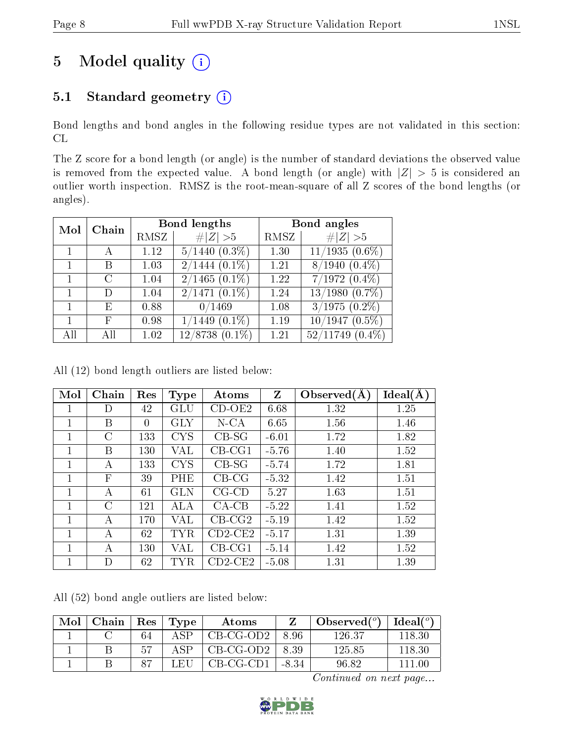## 5 Model quality  $(i)$

### 5.1 Standard geometry (i)

Bond lengths and bond angles in the following residue types are not validated in this section: CL

The Z score for a bond length (or angle) is the number of standard deviations the observed value is removed from the expected value. A bond length (or angle) with  $|Z| > 5$  is considered an outlier worth inspection. RMSZ is the root-mean-square of all Z scores of the bond lengths (or angles).

| Mol | Chain |      | Bond lengths                  | Bond angles |                              |  |
|-----|-------|------|-------------------------------|-------------|------------------------------|--|
|     |       | RMSZ | Z   > 5                       | RMSZ        | # $ Z  > 5$                  |  |
|     | А     | 1.12 | $5/1440$ $(0.3\%)$            | 1.30        | $11/1935(0.6\%)$             |  |
| 1   | В     | 1.03 | $2/1444$ $(0.1\%)$            | 1.21        | $8/1940(0.4\%)$              |  |
| 1   | C     | 1.04 | $2/1465(0.1\%)$               | 1.22        | $7/1972(0.4\%)$              |  |
| 1   | D     | 1.04 | $\overline{2/1471}$ $(0.1\%)$ | 1.24        | $13/\overline{1980 (0.7\%)}$ |  |
|     | E     | 0.88 | 0/1469                        | 1.08        | $3/1975$ $(0.2\%)$           |  |
|     | F     | 0.98 | $(1449(0.1\%)$                | 1.19        | $10/1947(0.5\%)$             |  |
| All | ΑH    | 1.02 | $12/8738(0.1\%)$              | 1.21        | $52/11749$ $(0.4\%)$         |  |

All (12) bond length outliers are listed below:

| Mol          | Chain         | Res      | <b>Type</b> | Atoms       | $Z_{\parallel}$ | Observed $(A)$ | Ideal(A) |
|--------------|---------------|----------|-------------|-------------|-----------------|----------------|----------|
| 1            | D             | 42       | GLU         | $CD-OE2$    | 6.68            | 1.32           | 1.25     |
| 1            | В             | $\theta$ | GLY         | $N$ -CA     | 6.65            | 1.56           | 1.46     |
| 1            | $\rm C$       | 133      | <b>CYS</b>  | $CB-SG$     | $-6.01$         | 1.72           | 1.82     |
| 1            | B             | 130      | VAL         | $CB-CG1$    | $-5.76$         | 1.40           | 1.52     |
| 1            | А             | 133      | <b>CYS</b>  | $CB-SG$     | $-5.74$         | 1.72           | 1.81     |
| 1            | $\mathbf{F}$  | 39       | PHE         | $CB-CG$     | $-5.32$         | 1.42           | 1.51     |
| $\mathbf{1}$ | A             | 61       | GLN         | $CG$ - $CD$ | 5.27            | 1.63           | 1.51     |
| 1            | $\mathcal{C}$ | 121      | ALA         | $CA-CB$     | $-5.22$         | 1.41           | 1.52     |
| 1            | А             | 170      | VAL         | $CB-CG2$    | $-5.19$         | 1.42           | 1.52     |
| 1            | А             | 62       | <b>TYR</b>  | $CD2$ -CE2  | $-5.17$         | 1.31           | 1.39     |
| 1            | А             | 130      | VAL         | $CB-CG1$    | $-5.14$         | 1.42           | 1.52     |
| 1            | D             | 62       | <b>TYR</b>  | $CD2$ -CE2  | $-5.08$         | 1.31           | 1.39     |

All (52) bond angle outliers are listed below:

| Mol | Chain | $\vert$ Res | Type  | Atoms       |         | Observed $(°)$ | Ideal(°) |
|-----|-------|-------------|-------|-------------|---------|----------------|----------|
|     |       | 64          | A SP  | $CB-CG-OD2$ | 8.96    | 126.37         |          |
|     |       |             | A SP. | CB-CG-OD2   | 8.39    | 125.85         | 118.30   |
|     |       | $\Omega$ 7  | LEH   | $CB-CG-CD1$ | $-8.34$ | 96.82          |          |

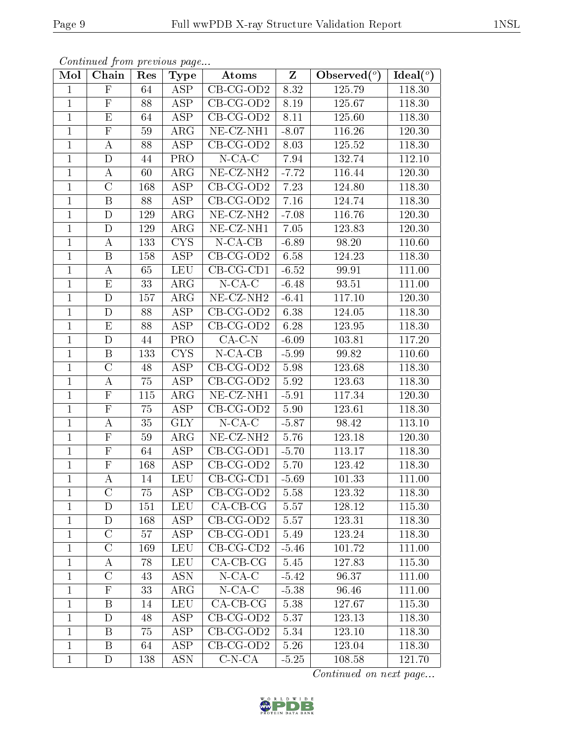| Mol          | Chain                   | Res     | <b>Type</b>             | Atoms                         | $\mathbf{Z}$ | Observed $\overline{(^{\circ})}$ | Ideal $\binom{\overline{o}}{ }$ |
|--------------|-------------------------|---------|-------------------------|-------------------------------|--------------|----------------------------------|---------------------------------|
| $\mathbf{1}$ | $\mathbf{F}$            | 64      | ASP                     | CB-CG-OD2                     | 8.32         | 125.79                           | 118.30                          |
| $\mathbf{1}$ | $\mathbf F$             | 88      | <b>ASP</b>              | $CB-CG-OD2$                   | 8.19         | 125.67                           | 118.30                          |
| $\mathbf{1}$ | E                       | 64      | ASP                     | $CB-CG-OD2$                   | 8.11         | 125.60                           | 118.30                          |
| $\mathbf{1}$ | $\mathbf F$             | 59      | $\rm{ARG}$              | $\overline{\text{NE-CL-NH1}}$ | $-8.07$      | 116.26                           | 120.30                          |
| $\mathbf{1}$ | $\bf{A}$                | 88      | $\overline{\text{ASP}}$ | $CB-CG-OD2$                   | 8.03         | 125.52                           | 118.30                          |
| $\mathbf{1}$ | D                       | 44      | PRO                     | $N$ -CA-C                     | 7.94         | 132.74                           | 112.10                          |
| $\mathbf{1}$ | $\boldsymbol{A}$        | 60      | $\rm{ARG}$              | NE-CZ-NH <sub>2</sub>         | $-7.72$      | 116.44                           | 120.30                          |
| $\mathbf{1}$ | $\mathcal{C}$           | 168     | ASP                     | $CB-CG-OD2$                   | 7.23         | 124.80                           | 118.30                          |
| $\mathbf{1}$ | $\, {\bf B}$            | 88      | ASP                     | $CB-CG-OD2$                   | $7.16\,$     | 124.74                           | 118.30                          |
| $\mathbf{1}$ | $\mathbf D$             | 129     | $\rm{ARG}$              | NE-CZ-NH <sub>2</sub>         | $-7.08$      | 116.76                           | 120.30                          |
| $\mathbf{1}$ | D                       | 129     | $\rm{ARG}$              | $NE- CZ-NH1$                  | 7.05         | 123.83                           | 120.30                          |
| $\mathbf{1}$ | $\bf{A}$                | 133     | <b>CYS</b>              | $N-CA-CB$                     | $-6.89$      | 98.20                            | 110.60                          |
| $\mathbf{1}$ | $\boldsymbol{B}$        | 158     | ASP                     | $CB-CG-OD2$                   | 6.58         | 124.23                           | 118.30                          |
| $\mathbf{1}$ | $\bf{A}$                | 65      | <b>LEU</b>              | $CB-CG-CD1$                   | $-6.52$      | 99.91                            | 111.00                          |
| $\mathbf{1}$ | E                       | 33      | $\rm{ARG}$              | $N$ -CA-C                     | $-6.48$      | 93.51                            | 111.00                          |
| $\mathbf{1}$ | $\mathbf D$             | $157\,$ | $\rm{ARG}$              | $NE- CZ-NH2$                  | $-6.41$      | 117.10                           | 120.30                          |
| $\mathbf{1}$ | D                       | 88      | <b>ASP</b>              | $\overline{\text{CB-CG-OD2}}$ | 6.38         | 124.05                           | 118.30                          |
| $\mathbf{1}$ | E                       | 88      | <b>ASP</b>              | $CB-CG-OD2$                   | 6.28         | 123.95                           | 118.30                          |
| $\mathbf{1}$ | $\mathbf D$             | 44      | <b>PRO</b>              | $CA-C-N$                      | $-6.09$      | 103.81                           | 117.20                          |
| $\mathbf{1}$ | $\, {\bf B}$            | 133     | CYS                     | $N$ -CA-CB                    | $-5.99$      | 99.82                            | 110.60                          |
| $\mathbf{1}$ | $\mathcal{C}$           | 48      | ASP                     | $\overline{CB}$ -CG-OD2       | 5.98         | 123.68                           | 118.30                          |
| $\mathbf{1}$ | $\bf{A}$                | 75      | ASP                     | $CB-CG-OD2$                   | 5.92         | 123.63                           | 118.30                          |
| $\mathbf{1}$ | $\mathbf F$             | 115     | $\rm{ARG}$              | NE-CZ-NH1                     | $-5.91$      | 117.34                           | 120.30                          |
| $\mathbf{1}$ | $\overline{\mathrm{F}}$ | 75      | ASP                     | $CB-CG-OD2$                   | 5.90         | 123.61                           | 118.30                          |
| $\mathbf{1}$ | $\boldsymbol{A}$        | 35      | <b>GLY</b>              | $N$ -CA-C                     | $-5.87$      | 98.42                            | 113.10                          |
| $\mathbf{1}$ | $\mathbf F$             | 59      | $\rm{ARG}$              | NE-CZ-NH <sub>2</sub>         | 5.76         | 123.18                           | 120.30                          |
| $\mathbf{1}$ | $\overline{F}$          | 64      | $\overline{\text{ASP}}$ | $CB-CG-OD1$                   | $-5.70$      | 113.17                           | 118.30                          |
| $\mathbf{1}$ | $\mathbf F$             | 168     | ASP                     | $CB-CG-OD2$                   | 5.70         | 123.42                           | 118.30                          |
| $\mathbf{1}$ | $\boldsymbol{A}$        | 14      | LEU                     | $CB-CG-CD1$                   | $-5.69$      | 101.33                           | 111.00                          |
| $\mathbf{1}$ | $\mathcal{C}$           | 75      | ASP                     | $CB-CG-OD2$                   | 5.58         | 123.32                           | 118.30                          |
| 1            | D                       | 151     | <b>LEU</b>              | $CA-CB-CG$                    | 5.57         | 128.12                           | 115.30                          |
| $\mathbf{1}$ | D                       | 168     | <b>ASP</b>              | $CB-CG-OD2$                   | 5.57         | 123.31                           | 118.30                          |
| $\mathbf{1}$ | $\mathcal C$            | 57      | ASP                     | $CB-CG-OD1$                   | 5.49         | 123.24                           | 118.30                          |
| $\mathbf{1}$ | $\overline{C}$          | 169     | <b>LEU</b>              | $CB-CG-CD2$                   | $-5.46$      | 101.72                           | 111.00                          |
| $\mathbf{1}$ | A                       | 78      | <b>LEU</b>              | $CA$ -CB-CG                   | 5.45         | 127.83                           | 115.30                          |
| $\mathbf{1}$ | $\overline{C}$          | 43      | <b>ASN</b>              | $N$ -CA-C                     | $-5.42$      | 96.37                            | 111.00                          |
| $\mathbf{1}$ | $\mathbf F$             | 33      | ${\rm ARG}$             | $N$ -CA-C                     | $-5.38$      | 96.46                            | 111.00                          |
| $\mathbf{1}$ | B                       | 14      | <b>LEU</b>              | $CA-CB-CG$                    | 5.38         | 127.67                           | 115.30                          |
| $\mathbf{1}$ | $\mathbf D$             | 48      | ASP                     | $CB-CG-OD2$                   | 5.37         | 123.13                           | 118.30                          |
| $\mathbf{1}$ | B                       | 75      | ASP                     | $CB-CG-OD2$                   | 5.34         | 123.10                           | 118.30                          |
| $\mathbf{1}$ | B                       | 64      | ASP                     | $CB-CG-OD2$                   | 5.26         | 123.04                           | 118.30                          |
| $\mathbf{1}$ | D                       | 138     | <b>ASN</b>              | $C-N-CA$                      | $-5.25$      | 108.58                           | 121.70                          |

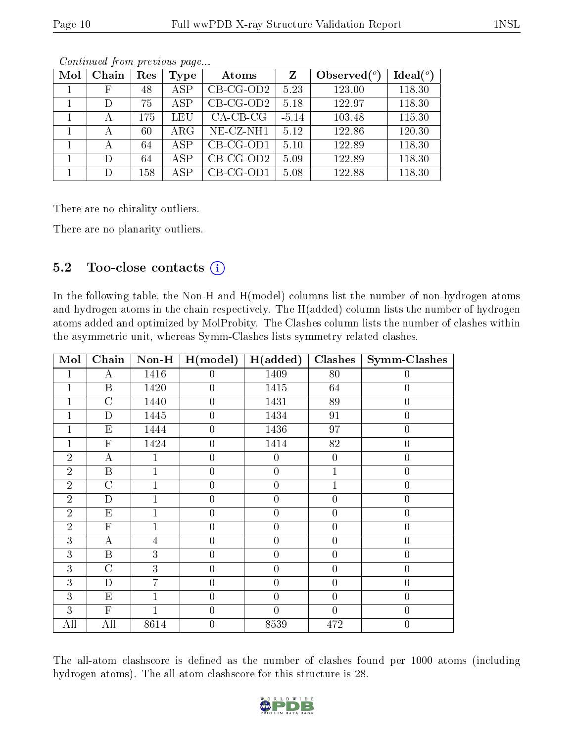| Mol | Chain       | Res | Type       | Atoms       | $\mathbf{Z}$ | Observed $\binom{o}{c}$ | Ideal $(°)$ |
|-----|-------------|-----|------------|-------------|--------------|-------------------------|-------------|
|     | $\mathbf F$ | 48  | <b>ASP</b> | $CB-CG-OD2$ | 5.23         | 123.00                  | 118.30      |
|     | D           | 75  | ASP        | $CB-CG-OD2$ | 5.18         | 122.97                  | 118.30      |
|     | А           | 175 | LEU        | $CA$ -CB-CG | $-5.14$      | 103.48                  | 115.30      |
|     | А           | 60  | $\rm{ARG}$ | NE-CZ-NH1   | 5.12         | 122.86                  | 120.30      |
|     | А           | 64  | <b>ASP</b> | $CB-CG-OD1$ | 5.10         | 122.89                  | 118.30      |
|     | D           | 64  | ASP        | $CB-CG-OD2$ | 5.09         | 122.89                  | 118.30      |
|     | D           | 158 | ASP        | $CB-CG-OD1$ | 5.08         | 122.88                  | 118.30      |

There are no chirality outliers.

There are no planarity outliers.

#### 5.2 Too-close contacts  $(i)$

In the following table, the Non-H and H(model) columns list the number of non-hydrogen atoms and hydrogen atoms in the chain respectively. The H(added) column lists the number of hydrogen atoms added and optimized by MolProbity. The Clashes column lists the number of clashes within the asymmetric unit, whereas Symm-Clashes lists symmetry related clashes.

| Mol            | Chain            | $Non-H$        | H (model)        | H(added)         | <b>Clashes</b>   | <b>Symm-Clashes</b> |
|----------------|------------------|----------------|------------------|------------------|------------------|---------------------|
| 1              | $\bf{A}$         | 1416           | $\theta$         | 1409             | 80               | $\overline{0}$      |
| 1              | $\boldsymbol{B}$ | 1420           | $\boldsymbol{0}$ | 1415             | 64               | $\boldsymbol{0}$    |
| 1              | $\overline{C}$   | 1440           | $\overline{0}$   | 1431             | 89               | $\overline{0}$      |
| $\mathbf{1}$   | $\mathbf D$      | 1445           | $\overline{0}$   | 1434             | 91               | $\overline{0}$      |
| $\mathbf 1$    | Ε                | 1444           | $\boldsymbol{0}$ | 1436             | 97               | $\boldsymbol{0}$    |
| 1              | $\overline{F}$   | 1424           | $\overline{0}$   | 1414             | 82               | $\overline{0}$      |
| $\overline{2}$ | $\boldsymbol{A}$ | 1              | $\overline{0}$   | $\overline{0}$   | $\boldsymbol{0}$ | $\overline{0}$      |
| $\overline{2}$ | $\overline{B}$   | 1              | $\boldsymbol{0}$ | $\boldsymbol{0}$ | $\mathbf{1}$     | $\overline{0}$      |
| $\overline{2}$ | $\overline{C}$   |                | $\boldsymbol{0}$ | $\boldsymbol{0}$ | $\mathbf{1}$     | $\boldsymbol{0}$    |
| $\overline{2}$ | $\mathbf{D}$     | $\overline{1}$ | $\boldsymbol{0}$ | $\overline{0}$   | $\overline{0}$   | $\overline{0}$      |
| $\overline{2}$ | E                | 1              | $\overline{0}$   | $\overline{0}$   | $\boldsymbol{0}$ | $\overline{0}$      |
| $\overline{2}$ | $\mathbf{F}$     | $\overline{1}$ | $\boldsymbol{0}$ | $\overline{0}$   | $\overline{0}$   | $\boldsymbol{0}$    |
| 3              | $\bf{A}$         | 4              | $\overline{0}$   | $\overline{0}$   | $\overline{0}$   | $\overline{0}$      |
| 3              | $\mathbf B$      | 3              | $\overline{0}$   | $\overline{0}$   | $\overline{0}$   | $\overline{0}$      |
| 3              | $\overline{C}$   | 3              | $\overline{0}$   | $\overline{0}$   | $\overline{0}$   | $\overline{0}$      |
| 3              | D                | 7              | $\boldsymbol{0}$ | $\boldsymbol{0}$ | $\overline{0}$   | $\overline{0}$      |
| 3              | $E_{\rm}$        | $\overline{1}$ | $\boldsymbol{0}$ | $\overline{0}$   | $\overline{0}$   | $\overline{0}$      |
| 3              | $\mathbf{F}$     | 1              | $\overline{0}$   | $\overline{0}$   | $\overline{0}$   | $\overline{0}$      |
| All            | All              | 8614           | $\boldsymbol{0}$ | 8539             | 472              | $\overline{0}$      |

The all-atom clashscore is defined as the number of clashes found per 1000 atoms (including hydrogen atoms). The all-atom clashscore for this structure is 28.

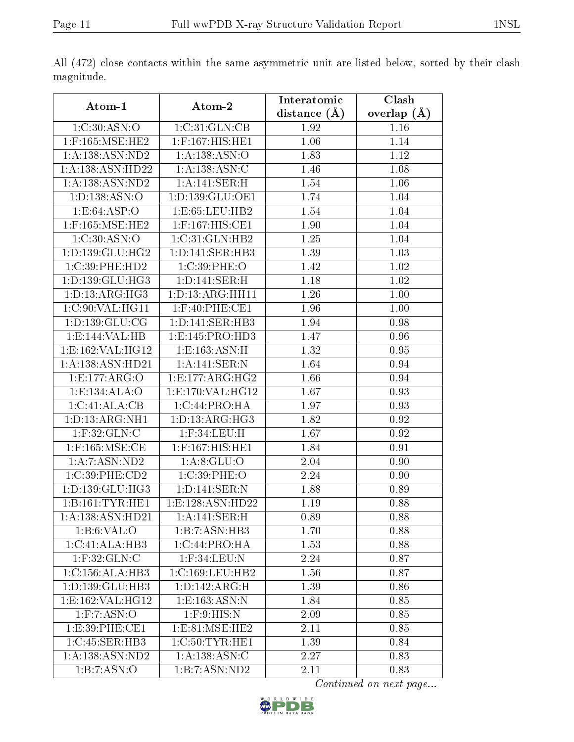|                       |                                  | Interatomic    | Clash           |
|-----------------------|----------------------------------|----------------|-----------------|
| Atom-1                | Atom-2                           | distance $(A)$ | overlap $(\AA)$ |
| 1:C:30:ASN:O          | 1:C:31:GLN:CB                    | 1.92           | 1.16            |
| $1:$ F:165:MSE:HE2    | 1:F:167:HIS:HE1                  | 1.06           | 1.14            |
| 1:A:138:ASN:ND2       | 1:A:138:ASN:O                    | 1.83           | 1.12            |
| 1:A:138:ASN:HD22      | 1: A: 138: ASN: C                | 1.46           | 1.08            |
| 1:A:138:ASN:ND2       | 1:A:141:SER:H                    | 1.54           | 1.06            |
| 1: D: 138: ASN: O     | 1: D: 139: GLU: OE1              | 1.74           | 1.04            |
| 1.E.64:ASP:O          | 1:E:65:LEU:HB2                   | 1.54           | 1.04            |
| $1:$ F:165:MSE:HE2    | 1:F:167:HIS:CE1                  | 1.90           | 1.04            |
| 1:C:30:ASN:O          | 1:C:31:GLN:HB2                   | 1.25           | 1.04            |
| 1: D: 139: GLU: HG2   | 1: D: 141: SER: HB3              | 1.39           | 1.03            |
| 1:C:39:PHE:HD2        | 1:C:39:PHE:O                     | 1.42           | 1.02            |
| 1: D: 139: GLU: HG3   | 1: D: 141: SER:H                 | 1.18           | 1.02            |
| 1: D: 13: ARG: HG3    | 1: D: 13: ARG: HH11              | 1.26           | 1.00            |
| 1:C:90:VAL:HG11       | $1:$ F:40:PHE:CE1                | 1.96           | 1.00            |
| 1: D: 139: GLU: CG    | $1: D: 141: SER: \overline{HB3}$ | 1.94           | 0.98            |
| 1:E:144:VAL:HB        | 1:E:145:PRO:HD3                  | 1.47           | 0.96            |
| 1:E:162:VAL:HG12      | 1: E: 163: ASN: H                | 1.32           | 0.95            |
| 1:A:138:ASN:HD21      | 1:A:141:SER:N                    | 1.64           | 0.94            |
| 1:E:177:ARG:O         | 1:E:177:ARG:HG2                  | 1.66           | 0.94            |
| 1:E:134:ALA:O         | 1:E:170:VAL:HG12                 | 1.67           | 0.93            |
| 1:C:41:ALA:CB         | 1:C:44:PRO:HA                    | 1.97           | 0.93            |
| 1: D: 13: ARG: NH1    | 1: D: 13: ARG: HG3               | 1.82           | 0.92            |
| $1:$ F:32:GLN:C       | $1:$ F:34:LEU:H                  | 1.67           | 0.92            |
| $1:$ F:165:MSE:CE     | 1:F:167:HIS:HE1                  | 1.84           | 0.91            |
| 1:A:7:ASN:ND2         | 1: A:8: GLU:O                    | 2.04           | 0.90            |
| 1:C:39:PHE:CD2        | 1:C:39:PHE:O                     | 2.24           | 0.90            |
| 1:D:139:GLU:HG3       | 1: D: 141: SER: N                | 1.88           | 0.89            |
| 1: B: 161: TYR: HE1   | 1:E:128:ASN:HD22                 | 1.19           | 0.88            |
| 1:A:138:ASN:HD21      | 1: A:141:SER:H                   | 0.89           | 0.88            |
| 1: B:6: VAL:O         | 1:B:7:ASN:HB3                    | 1.70           | 0.88            |
| 1:C:41:ALA:HB3        | 1:C:44:PRO:HA                    | 1.53           | 0.88            |
| $1:$ F:32:GLN:C       | $1:$ F:34:LEU:N                  | 2.24           | 0.87            |
| 1:C:156:ALA:HB3       | 1:C:169:LEU:HB2                  | 1.56           | 0.87            |
| 1: D: 139: GLU: HB3   | 1: D: 142: ARG:H                 | 1.39           | 0.86            |
| 1:E:162:VAL:HG12      | 1:E:163:ASN:N                    | 1.84           | 0.85            |
| $1:$ F: $7:$ ASN: $O$ | $1:$ F:9:HIS: $N$                | 2.09           | 0.85            |
| 1:E:39:PHE:CE1        | 1:E:81:MSE:HE2                   | 2.11           | 0.85            |
| 1:C:45:SER:HB3        | 1:C:50:TYR:HE1                   | 1.39           | 0.84            |
| 1:A:138:ASN:ND2       | 1: A: 138: ASN: C                | 2.27           | 0.83            |
| 1:B:7:ASN:O           | 1:B:7:ASN:ND2                    | 2.11           | 0.83            |

All (472) close contacts within the same asymmetric unit are listed below, sorted by their clash magnitude.

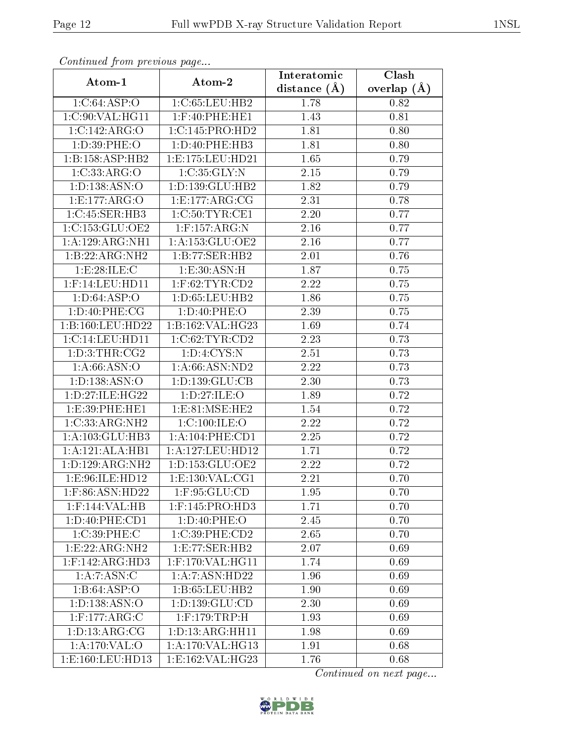| Continued from previous page |                     | Interatomic       | Clash         |
|------------------------------|---------------------|-------------------|---------------|
| Atom-1                       | Atom-2              | distance $(A)$    | overlap $(A)$ |
| 1:C:64:ASP:O                 | 1:C:65:LEU:HB2      | 1.78              | 0.82          |
| 1:C:90:VAL:HG11              | $1:$ F:40:PHE:HE1   | 1.43              | 0.81          |
| 1:C:142:ARG:O                | 1:C:145:PRO:HD2     | 1.81              | 0.80          |
| 1:D:39:PHE:O                 | 1:D:40:PHE:HB3      | 1.81              | 0.80          |
| 1:B:158:ASP:HB2              | 1:E:175:LEU:HD21    | 1.65              | 0.79          |
| 1:C:33:ARG:O                 | 1:C:35:GLY:N        | $2.15\,$          | 0.79          |
| 1: D: 138: ASN: O            | 1: D: 139: GLU: HB2 | 1.82              | 0.79          |
| 1:E:177:ARG:O                | 1:E:177:ARG:CG      | 2.31              | 0.78          |
| 1:C:45:SER:HB3               | 1:C:50:TYR:CE1      | 2.20              | 0.77          |
| 1:C:153:GLU:OE2              | $1:$ F:157:ARG:N    | 2.16              | 0.77          |
| 1:A:129:ARG:NH1              | 1: A: 153: GLU: OE2 | 2.16              | 0.77          |
| 1:B:22:ARG:NH2               | 1:B:77:SER:HB2      | 2.01              | 0.76          |
| 1:E:28:ILE:C                 | 1: E:30: ASN:H      | 1.87              | 0.75          |
| $1:$ F:14:LEU:HD11           | $1:$ F:62:TYR:CD2   | 2.22              | 0.75          |
| 1: D:64: ASP:O               | 1: D: 65: LEU: HB2  | 1.86              | 0.75          |
| 1: D:40: PHE: CG             | 1: D:40: PHE:O      | 2.39              | 0.75          |
| 1:B:160:LEU:HD22             | 1:B:162:VAL:HG23    | 1.69              | 0.74          |
| 1:C:14:LEU:HD11              | 1:C:62:TYR:CD2      | 2.23              | 0.73          |
| 1: D: 3: THR: CG2            | 1: D: 4: CYS:N      | $\overline{2.51}$ | 0.73          |
| 1: A:66: ASN:O               | 1: A:66: ASN:ND2    | 2.22              | 0.73          |
| 1: D: 138: ASN: O            | 1:D:139:GLU:CB      | 2.30              | 0.73          |
| 1: D: 27: ILE: HG22          | 1: D: 27: ILE: O    | 1.89              | 0.72          |
| 1:E:39:PHE:HE1               | 1: E:81: MSE: HE2   | 1.54              | 0.72          |
| 1:C:33:ARG:NH2               | 1:C:100:ILE:O       | 2.22              | 0.72          |
| 1:A:103:GLU:HB3              | 1:A:104:PHE:CD1     | 2.25              | 0.72          |
| 1:A:121:ALA:HB1              | 1:A:127:LEU:HD12    | 1.71              | 0.72          |
| 1: D: 129: ARG: NH2          | 1: D: 153: GLU: OE2 | 2.22              | 0.72          |
| 1:E:96:ILE:HD12              | 1: E: 130: VAL: CG1 | 2.21              | 0.70          |
| $1:$ F:86:ASN:HD22           | $1:$ F:95:GLU:CD    | 1.95              | 0.70          |
| $1:$ F:144:VAL:HB            | $1:$ F:145:PRO:HD3  | 1.71              | 0.70          |
| 1:D:40:PHE:CD1               | 1: D:40: PHE:O      | 2.45              | 0.70          |
| 1:C:39:PHE:C                 | 1:C:39:PHE:CD2      | 2.65              | 0.70          |
| 1:E:22:ARG:NH2               | 1: E: 77: SER: HB2  | 2.07              | 0.69          |
| $1:$ F:142:ARG:HD3           | 1:F:170:VAL:HG11    | 1.74              | 0.69          |
| 1: A:7: ASN: C               | 1:A:7:ASN:HD22      | 1.96              | 0.69          |
| 1:B:64:ASP:O                 | 1: B: 65: LEU: HB2  | 1.90              | 0.69          |
| 1: D: 138: ASN: O            | 1:D:139:GLU:CD      | 2.30              | 0.69          |
| $1:$ F:177:ARG:C             | $1:$ F:179:TRP:H    | 1.93              | 0.69          |
| 1: D: 13: ARG: CG            | 1:D:13:ARG:HH11     | 1.98              | 0.69          |
| 1:A:170:VAL:O                | 1:A:170:VAL:HG13    | 1.91              | 0.68          |
| 1:E:160:LEU:HD13             | 1:E:162:VAL:HG23    | 1.76              | 0.68          |

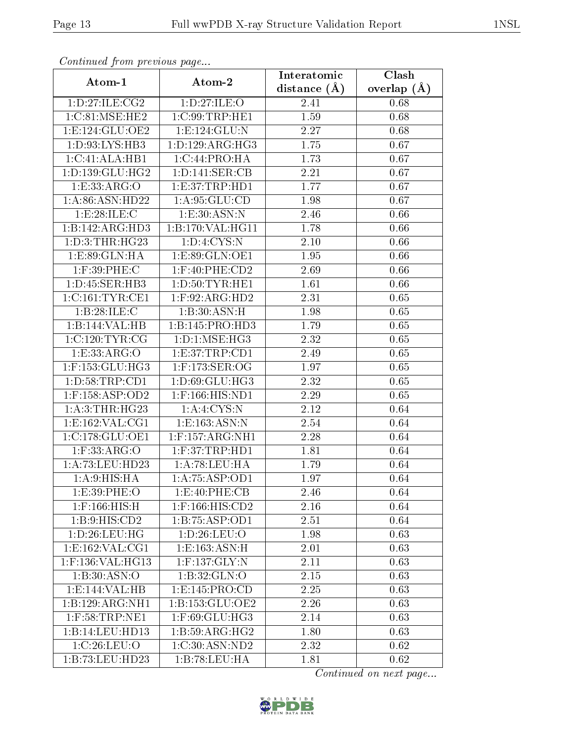| Communica from precious page |                                        | Interatomic    | Clash           |
|------------------------------|----------------------------------------|----------------|-----------------|
| Atom-1                       | Atom-2                                 | distance $(A)$ | overlap $(\AA)$ |
| 1: D:27: ILE: CG2            | 1: D:27: ILE: O                        | 2.41           | 0.68            |
| 1:C:81:MSE:HE2               | 1:C:99:TRP:HE1                         | 1.59           | 0.68            |
| 1: E: 124: GLU: OE2          | 1:E:124:GLU:N                          | 2.27           | 0.68            |
| 1: D: 93: LYS: HB3           | 1: D: 129: ARG: HG3                    | 1.75           | 0.67            |
| 1:C:41:ALA:HB1               | 1:C:44:PRO:HA                          | 1.73           | 0.67            |
| 1: D: 139: GLU: HG2          | 1: D: 141: SER: CB                     | 2.21           | 0.67            |
| 1:ES33:ARG:O                 | 1: E:37:TRP:HD1                        | 1.77           | 0.67            |
| 1: A:86: ASN:HD22            | 1: A:95: GLU:CD                        | 1.98           | 0.67            |
| 1:E:28:ILE:C                 | 1: E: 30: ASN: N                       | 2.46           | 0.66            |
| 1:B:142:ARG:HD3              | 1:B:170:VAL:HG11                       | 1.78           | 0.66            |
| 1: D: 3: THR: HG23           | 1: D: 4: CYS:N                         | $2.10\,$       | 0.66            |
| 1:E:89:GLN:HA                | 1:E:89:GLN:OE1                         | 1.95           | 0.66            |
| 1:F:39:PHE:C                 | $1:$ F:40:PHE:CD2                      | 2.69           | 0.66            |
| 1:D:45:SER:HB3               | 1: D: 50: TYR: HE1                     | 1.61           | 0.66            |
| 1:C:161:TYR:CE1              | $1:$ F:92:ARG:HD2                      | 2.31           | 0.65            |
| 1:B:28:ILE:C                 | 1:B:30:ASN:H                           | 1.98           | 0.65            |
| 1:B:144:VAL:HB               | 1:B:145:PRO:HD3                        | 1.79           | 0.65            |
| 1:C:120:TYR:CG               | 1: D: 1: MSE: HG3                      | 2.32           | 0.65            |
| 1:E:33:ARG:O                 | 1: E:37: TRP:CD1                       | 2.49           | 0.65            |
| $1:$ F:153: $GLU$ :HG3       | $1:$ F:173:SER:OG                      | 1.97           | 0.65            |
| 1: D:58: TRP:CD1             | 1:D:69:GLU:HG3                         | 2.32           | 0.65            |
| $1:$ F:158:ASP:OD2           | $1:$ F:166:HIS:ND1                     | 2.29           | 0.65            |
| 1: A:3:THR:HG23              | 1: A:4:CYS:N                           | 2.12           | 0.64            |
| 1:E:162:VAL:CG1              | 1:E:163:ASN:N                          | 2.54           | 0.64            |
| 1:C:178:GLU:OE1              | $1:$ F:157:ARG:NH1                     | 2.28           | 0.64            |
| $1:$ F:33:ARG:O              | $1:$ F:37:TRP:HD1                      | 1.81           | 0.64            |
| 1:A:73:LEU:HD23              | 1:A:78:LEU:HA                          | 1.79           | 0.64            |
| 1: A:9: HIS: HA              | 1: A:75: ASP:OD1                       | 1.97           | 0.64            |
| 1:E:39:PHE:O                 | 1: E:40: PHE: CB                       | 2.46           | 0.64            |
| $1:$ F:166:HIS:H             | 1:F:166:HIS:CD2                        | 2.16           | 0.64            |
| 1: B: 9: HIS: CD2            | 1:B:75:ASP:OD1                         | 2.51           | 0.64            |
| 1:D:26:LEU:HG                | 1: D:26: LEU:O                         | 1.98           | 0.63            |
| 1: E: 162: VAL: CG1          | 1:E:163:ASN:H                          | 2.01           | 0.63            |
| 1:F:136:VAL:HG13             | $1:$ F:137: $\overline{\text{GLY}}$ :N | 2.11           | 0.63            |
| 1:B:30:ASN:O                 | 1:B:32:GLN:O                           | 2.15           | 0.63            |
| 1:E:144:VAL:HB               | 1: E: 145: PRO:CD                      | 2.25           | 0.63            |
| 1:B:129:ARG:NH1              | 1:B:153:GLU:OE2                        | 2.26           | 0.63            |
| $1:$ F:58:TRP:NE1            | $1:$ F:69:GLU:HG3                      | 2.14           | 0.63            |
| 1:B:14:LEU:HDI3              | $1: B:59: ARG: H\overline{G2}$         | 1.80           | 0.63            |
| 1:C:26:LEU:O                 | 1:C:30:ASN:ND2                         | 2.32           | 0.62            |
| 1:B:73:LEU:HD23              | 1:B:78:LEU:HA                          | 1.81           | 0.62            |

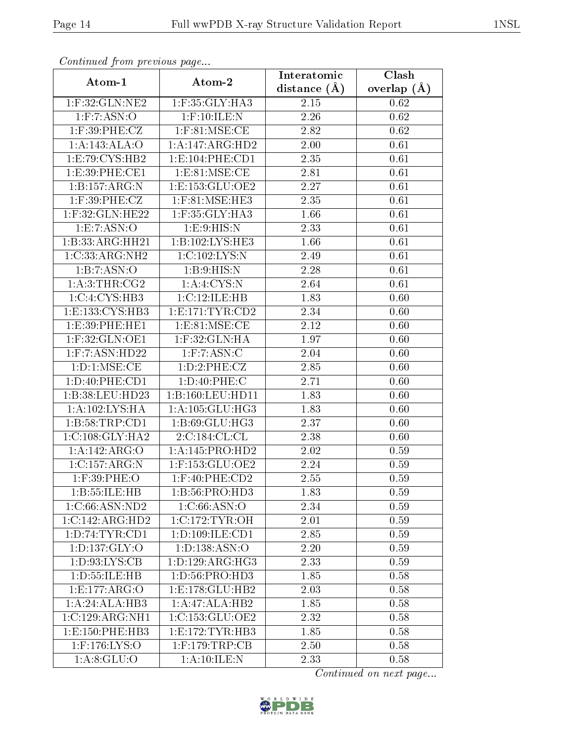| Communica from precious page |                       | Interatomic    | Clash         |
|------------------------------|-----------------------|----------------|---------------|
| Atom-1                       | Atom-2                | distance $(A)$ | overlap $(A)$ |
| 1:F:32:GLN:NE2               | 1:F:35:GLY:HA3        | 2.15           | 0.62          |
| $1:$ F:7:ASN:O               | $1:$ F:10:ILE:N       | 2.26           | 0.62          |
| $1:$ F:39:PHE:CZ             | $1:$ F:81:MSE:CE      | 2.82           | 0.62          |
| 1:A:143:ALA:O                | 1:A:147:ARG:HD2       | 2.00           | 0.61          |
| 1:E:79:CYS:HB2               | 1: E: 104: PHE: CD1   | 2.35           | 0.61          |
| 1:E:39:PHE:CE1               | 1: E:81: MSE:CE       | 2.81           | 0.61          |
| 1:B:157:ARG:N                | 1:E:153:GLU:OE2       | 2.27           | 0.61          |
| 1:F:39:PHE:CZ                | $1:$ F:81:MSE:HE3     | 2.35           | 0.61          |
| 1:F:32:GLN:HE22              | 1:F:35:GLY:HA3        | 1.66           | 0.61          |
| 1:E:7:ASN:O                  | 1:E:9:HIS:N           | 2.33           | 0.61          |
| 1:B:33:ARG:HH21              | 1:B:102:LYS:HE3       | 1.66           | 0.61          |
| 1:C:33:ARG:NH2               | 1:C:102:LYS:N         | 2.49           | 0.61          |
| 1:B:7:ASN:O                  | 1: B:9: HIS:N         | 2.28           | 0.61          |
| 1:A:3:THR:CG2                | 1: A:4:CYS:N          | 2.64           | 0.61          |
| 1:C:4:CYS:HB3                | 1:C:12:ILE:HB         | 1.83           | 0.60          |
| 1:E:133:CYS:HB3              | 1: E: 171: TYR: CD2   | 2.34           | 0.60          |
| 1:E:39:PHE:HE1               | 1: E:81: MSE: CE      | 2.12           | 0.60          |
| 1:F:32:GLN:OE1               | $1:$ F:32: $GLN:HA$   | 1.97           | 0.60          |
| 1:F:7:ASN:HD22               | $1:$ F: $7:$ ASN: $C$ | 2.04           | 0.60          |
| 1: D: 1: MSE: CE             | 1: D: 2: PHE: CZ      | 2.85           | 0.60          |
| 1:D:40:PHE:CD1               | 1: D:40: PHE: C       | 2.71           | 0.60          |
| 1:B:38:LEU:HD23              | 1:B:160:LEU:HD11      | 1.83           | 0.60          |
| 1:A:102:LYS:HA               | 1: A: 105: GLU: HG3   | 1.83           | 0.60          |
| 1:B:58:TRP:CD1               | 1:B:69:GLU:HG3        | 2.37           | 0.60          |
| 1:C:108:GLY:HA2              | 2:C:184:CL:CL         | 2.38           | 0.60          |
| 1:A:142:ARG:O                | 1:A:145:PRO:HD2       | 2.02           | 0.59          |
| 1:C:157:ARG:N                | 1:F:153:GLU:OE2       | 2.24           | 0.59          |
| $1:$ F:39:PHE:O              | $1:$ F:40:PHE: $CD2$  | 2.55           | 0.59          |
| 1:B:55:ILE:HB                | 1: B:56: PRO:HD3      | 1.83           | 0.59          |
| 1:C:66:ASN:ND2               | 1:C:66:ASN:O          | 2.34           | 0.59          |
| 1:C:142:ARG:HD2              | 1:C:172:TYR:OH        | 2.01           | 0.59          |
| 1: D:74: TYR: CD1            | 1:D:109:ILE:CD1       | 2.85           | 0.59          |
| 1: D: 137: GLY: O            | 1: D: 138: ASN: O     | 2.20           | 0.59          |
| 1: D: 93: LYS: CB            | 1: D: 129: ARG: HG3   | 2.33           | 0.59          |
| 1:D:55:ILE:HB                | 1: D: 56: PRO: HD3    | 1.85           | 0.58          |
| 1: E: 177: ARG: O            | 1: E: 178: GLU: HB2   | 2.03           | 0.58          |
| 1:A:24:ALA:HB3               | 1:A:47:ALA:HB2        | 1.85           | 0.58          |
| 1:C:129:ARG:NH1              | 1:C:153:GLU:OE2       | 2.32           | 0.58          |
| 1: E: 150: PHE: HB3          | 1: E: 172: TYR: HB3   | 1.85           | 0.58          |
| $1:$ F:176:LYS:O             | $1:$ F:179:TRP:CB     | 2.50           | 0.58          |
| 1: A:8: GLU:O                | 1: A:10: ILE:N        | 2.33           | 0.58          |

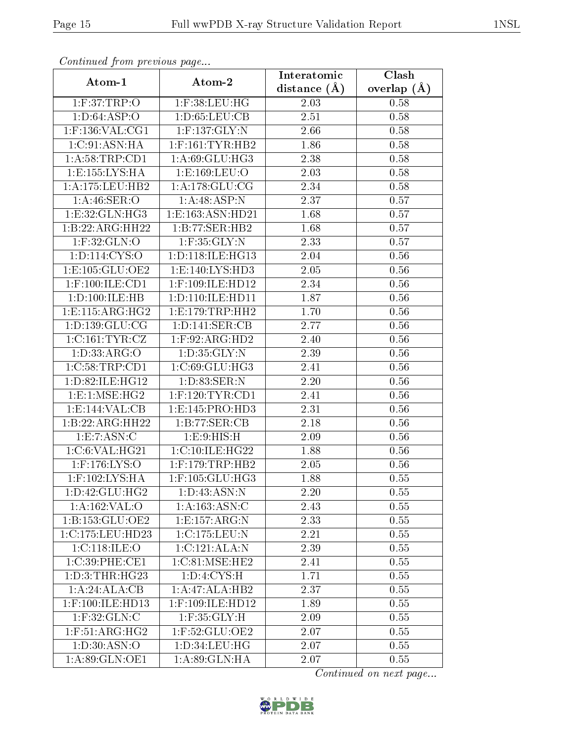| Continuea from previous page    |                      | Interatomic      | $\overline{\text{Clash}}$ |
|---------------------------------|----------------------|------------------|---------------------------|
| Atom-1                          | Atom-2               | distance $(\AA)$ | overlap $(A)$             |
| 1: F:37:TRP:O                   | $1:$ F:38:LEU:HG     | 2.03             | 0.58                      |
| 1: D:64: ASP:O                  | 1: D:65:LEU:CB       | 2.51             | 0.58                      |
| $1:$ F:136:VAL:CG1              | $1:$ F:137:GLY:N     | 2.66             | 0.58                      |
| 1:C:91:ASN:HA                   | $1:$ F:161:TYR:HB2   | 1.86             | 0.58                      |
| 1: A:58:TRP:CD1                 | 1: A:69: GLU: HG3    | 2.38             | 0.58                      |
| 1:E:155:LYS:HA                  | 1:E:169:LEU:O        | 2.03             | 0.58                      |
| 1: A: 175: LEU: HB2             | 1: A:178: GLU:CG     | 2.34             | 0.58                      |
| 1: A:46: SER:O                  | 1:A:48:ASP:N         | 2.37             | 0.57                      |
| 1:E:32:GLN:HG3                  | 1:E:163:ASN:HD21     | 1.68             | 0.57                      |
| 1:B:22:ARG:HH22                 | 1:B:77:SER:HB2       | 1.68             | 0.57                      |
| $1:$ F:32:GLN:O                 | $1:$ F:35:GLY:N      | 2.33             | 0.57                      |
| 1:D:114:CYS:O                   | 1: D: 118: ILE: HG13 | 2.04             | 0.56                      |
| 1:E:105:GLU:OE2                 | 1: E: 140: LYS: HD3  | 2.05             | 0.56                      |
| $1:$ F:100:ILE:CD1              | 1:F:109:ILE:HD12     | 2.34             | 0.56                      |
| 1:D:100:ILE:HB                  | 1: D: 110: ILE: HD11 | 1.87             | 0.56                      |
| 1: E: 115: ARG: HG2             | 1:E:179:TRP:HH2      | 1.70             | 0.56                      |
| 1: D: 139: GLU: CG              | 1: D: 141: SER: CB   | 2.77             | 0.56                      |
| 1:C:161:TYR:CZ                  | $1:$ F:92:ARG:HD2    | 2.40             | 0.56                      |
| 1: D: 33: ARG: O                | 1: D: 35: GLY: N     | 2.39             | 0.56                      |
| 1:C:58:TRP:CD1                  | 1:C:69:GLU:HG3       | 2.41             | 0.56                      |
| 1:D:82:ILE:HG12                 | 1:D:83:SER:N         | 2.20             | 0.56                      |
| 1:E:1:MSE:HG2                   | $1:$ F:120:TYR:CD1   | 2.41             | 0.56                      |
| 1: E: 144: VAL: CB              | 1: E: 145: PRO: HD3  | 2.31             | 0.56                      |
| 1:B:22:ARG:HH22                 | 1:B:77:SER:CB        | 2.18             | 0.56                      |
| 1:E:7:ASN:C                     | 1:E:9:HIS:H          | 2.09             | 0.56                      |
| 1:C:6:VAL:HG21                  | 1:C:10:ILE:HG22      | 1.88             | 0.56                      |
| 1:F:176:LYS:O                   | $1:$ F:179:TRP:HB2   | 2.05             | 0.56                      |
| $1:$ F:102:LYS:HA               | $1:$ F:105:GLU:HG3   | 1.88             | 0.55                      |
| 1: D: 42: GLU: HG2              | 1:D:43:ASN:N         | 2.20             | 0.55                      |
| $1:A:162:\overline{VAL:O}$      | 1:A:163:ASN:C        | 2.43             | 0.55                      |
| 1:B:153:GLU:OE2                 | 1:E:157:ARG:N        | 2.33             | 0.55                      |
| 1:C:175:LEU:HD23                | 1:C:175:LEU:N        | 2.21             | 0.55                      |
| 1:C:118:ILE:O                   | 1:C:121:ALA:N        | 2.39             | 0.55                      |
| 1:C:39:PHE:CE1                  | 1:C:81:MSE:HE2       | 2.41             | 0.55                      |
| 1: D: 3: THR: HG23              | 1: D: 4: CYS:H       | 1.71             | 0.55                      |
| 1:A:24:ALA:CB                   | 1:A:47:ALA:HB2       | 2.37             | 0.55                      |
| $1:$ F:100:ILE:HD13             | 1:F:109:ILE:HD12     | 1.89             | 0.55                      |
| $1:$ F:32:GLN:C                 | $1:$ F:35: $GLY:H$   | 2.09             | 0.55                      |
| $1:$ F:51:ARG:H $\overline{G2}$ | $1:$ F:52:GLU:OE2    | 2.07             | 0.55                      |
| 1: D:30: ASN:O                  | 1: D: 34: LEU: HG    | 2.07             | 0.55                      |
| 1:A:89:GLN:OE1                  | 1:A:89:GLN:HA        | 2.07             | 0.55                      |

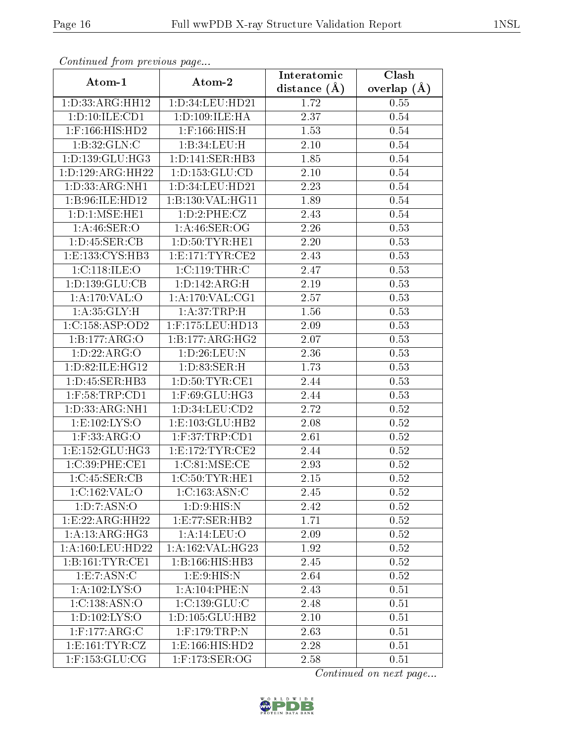| Continuea from previous page<br>Clash<br>Interatomic |                              |                   |                 |  |
|------------------------------------------------------|------------------------------|-------------------|-----------------|--|
| Atom-1                                               | Atom-2                       | distance $(A)$    | overlap $(\AA)$ |  |
| 1: D: 33: ARG: HH12                                  | 1:D:34:LEU:HD21              | 1.72              | 0.55            |  |
| 1: D: 10: ILE: CD1                                   | 1:D:109:ILE:HA               | 2.37              | 0.54            |  |
| $1:$ F:166:HIS:HD2                                   | $1:$ F:166:HIS:H             | 1.53              | 0.54            |  |
| 1:B:32:GLN:C                                         | 1:B:34:LEU:H                 | 2.10              | 0.54            |  |
| 1: D: 139: GLU: HG3                                  | 1: D: 141: SER: HB3          | 1.85              | 0.54            |  |
| 1:D:129:ARG:HH22                                     | 1: D: 153: GLU: CD           | $2.10\,$          | 0.54            |  |
| 1: D: 33: ARG: NH1                                   | $1:D:34:L\overline{EU:HD21}$ | 2.23              | 0.54            |  |
| 1:B:96:ILE:HD12                                      | 1:B:130:VAL:HG11             | 1.89              | 0.54            |  |
| 1: D: 1: MSE: HE1                                    | 1: D: 2: PHE: CZ             | 2.43              | 0.54            |  |
| 1: A:46: SER:O                                       | 1:A:46:SER:OG                | 2.26              | 0.53            |  |
| 1: D: 45: SER: CB                                    | 1: D: 50: TYR: HE1           | 2.20              | 0.53            |  |
| 1: E: 133: CYS: HB3                                  | 1: E:171: TYR: CE2           | $\overline{2.43}$ | 0.53            |  |
| 1:C:118:ILE:O                                        | 1:C:119:THR:C                | 2.47              | 0.53            |  |
| 1:D:139:GLU:CB                                       | 1: D: 142: ARG:H             | 2.19              | 0.53            |  |
| 1: A:170: VAL:O                                      | 1: A:170: VAL:CG1            | 2.57              | 0.53            |  |
| 1: A:35: GLY:H                                       | 1:A:37:TRP:H                 | 1.56              | 0.53            |  |
| 1:C:158:ASP:OD2                                      | 1:F:175:LEU:HD13             | 2.09              | 0.53            |  |
| 1:B:177:ARG:O                                        | 1:B:177:ARG:HG2              | 2.07              | 0.53            |  |
| 1: D: 22: ARG: O                                     | 1: D: 26: LEU: N             | 2.36              | 0.53            |  |
| 1: D:82: ILE: HG12                                   | 1: D: 83: SER:H              | 1.73              | 0.53            |  |
| 1:D:45:SER:HB3                                       | 1: D:50: TYR: CE1            | 2.44              | 0.53            |  |
| $1:$ F:58:TRP:CD1                                    | 1:F:69:GLU:HG3               | 2.44              | 0.53            |  |
| 1:D:33:ARG:NH1                                       | 1: D: 34: LEU: CD2           | 2.72              | 0.52            |  |
| 1:E:102:LYS:O                                        | 1:E:103:GLU:HB2              | 2.08              | 0.52            |  |
| $1:$ F:33:ARG:O                                      | $1:$ F:37:TRP:CD1            | 2.61              | 0.52            |  |
| 1:E:152:GLU:HG3                                      | 1: E:172: TYR: CE2           | 2.44              | 0.52            |  |
| 1:C:39:PHE:CE1                                       | 1:C:81:MSE:CE                | 2.93              | 0.52            |  |
| 1:C:45:SER:CB                                        | 1:C:50:TYR:HE1               | $2.15\,$          | 0.52            |  |
| 1:C:162:VAL:O                                        | 1:C:163:ASN:C                | 2.45              | 0.52            |  |
| 1: D: 7: ASN: O                                      | 1: D:9: HIS:N                | 2.42              | 0.52            |  |
| 1:E:22:ARG:HH22                                      | 1: E: 77: SER: HB2           | 1.71              | 0.52            |  |
| 1:A:13:ARG:HG3                                       | 1: A:14:LEU:O                | 2.09              | 0.52            |  |
| 1: A: 160: LEU: HD22                                 | 1: A: 162: VAL: HG23         | 1.92              | 0.52            |  |
| 1: B: 161: TYR: CE1                                  | 1:B:166:HIS:HB3              | 2.45              | 0.52            |  |
| 1:E:7:ASN:C                                          | 1: E:9: HIS:N                | 2.64              | 0.52            |  |
| 1: A:102:LYS:O                                       | $1: A:104:$ PHE:N            | 2.43              | 0.51            |  |
| 1: C: 138: ASN:O                                     | 1:C:139:GLU:C                | 2.48              | 0.51            |  |
| 1:D:102:LYS:O                                        | 1: D: 105: GLU: HB2          | 2.10              | 0.51            |  |
| $1:$ F:177:ARG:C                                     | $1:$ F:179:TRP:N             | 2.63              | 0.51            |  |
| 1: E: 161: TYR: CZ                                   | 1:E:166:HIS:HD2              | 2.28              | 0.51            |  |
| $1:$ F:153:GL $\overline{U:CG}$                      | $1:$ F:173:SER:OG            | 2.58              | 0.51            |  |

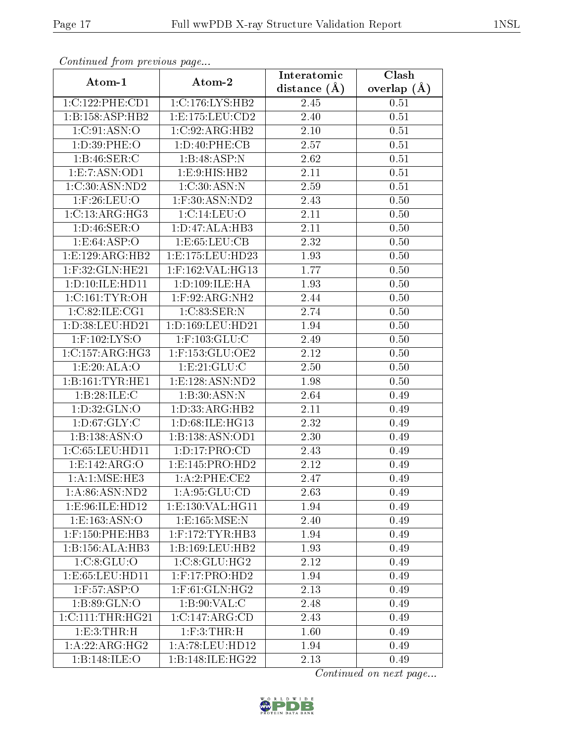| Comunaca jiom previous page   |                                 | Interatomic       | Clash           |
|-------------------------------|---------------------------------|-------------------|-----------------|
| Atom-1                        | Atom-2                          | distance $(A)$    | overlap $(\AA)$ |
| 1:C:122:PHE:CD1               | 1:C:176:LYS:HB2                 | 2.45              | 0.51            |
| 1: B: 158: ASP: HB2           | 1: E: 175: LEU: CD2             | $\overline{2}.40$ | 0.51            |
| 1:C:91:ASN:O                  | $1:C:92:ARG:H\overline{B2}$     | $2.10\,$          | 0.51            |
| 1: D:39: PHE:O                | 1: D: 40: PHE: CB               | 2.57              | 0.51            |
| 1:B:46:SER:C                  | 1:B:48:ASP:N                    | 2.62              | 0.51            |
| 1: E: 7: ASN: OD1             | 1: E: 9: HIS: HB2               | 2.11              | 0.51            |
| 1:C:30:ASN:ND2                | 1:C:30:ASN:N                    | 2.59              | 0.51            |
| $1:$ F:26:LEU:O               | $1:$ F:30:ASN:ND2               | 2.43              | 0.50            |
| $1:C:\overline{13:ARG:HG3}$   | 1:C:14:LEU:O                    | 2.11              | 0.50            |
| 1: D: 46: SER: O              | 1:D:47:ALA:HB3                  | 2.11              | 0.50            |
| 1:E:64:ASP:O                  | 1:E:65:LEU:CB                   | 2.32              | 0.50            |
| 1:E:129:ARG:HB2               | 1:E:175:LEU:HD23                | 1.93              | 0.50            |
| 1:F:32:GLN:HE21               | 1:F:162:VAL:HG13                | 1.77              | 0.50            |
| 1: D: 10: ILE: HD11           | 1:D:109:ILE:HA                  | 1.93              | 0.50            |
| 1:C:161:TYR:OH                | 1:F:92:ARG:NH2                  | 2.44              | 0.50            |
| 1:C:82:ILE:CG1                | 1:C:83:SER:N                    | 2.74              | 0.50            |
| 1: D: 38: LEU: HD21           | 1:D:169:LEU:HD21                | 1.94              | 0.50            |
| $1:$ F:102:LYS:O              | $1:$ F:103:GLU:C                | 2.49              | 0.50            |
| 1:C:157:ARG:HG3               | 1:F:153:GLU:OE2                 | 2.12              | 0.50            |
| 1:E:20:ALA:O                  | 1: E:21: GLU: C                 | 2.50              | 0.50            |
| 1:B:161:TYR:HE1               | 1: E: 128: ASN: ND2             | 1.98              | 0.50            |
| 1:B:28:ILE:C                  | 1:B:30:ASN:N                    | 2.64              | 0.49            |
| 1: D: 32: GLN: O              | 1: D: 33: ARG: HB2              | 2.11              | 0.49            |
| 1: D:67: GLY: C               | 1:D:68:ILE:HG13                 | 2.32              | 0.49            |
| 1:B:138:ASN:O                 | 1:B:138:ASN:OD1                 | 2.30              | 0.49            |
| 1:C:65:LEU:HD11               | 1: D: 17: PRO: CD               | 2.43              | 0.49            |
| 1: E: 142: ARG: O             | 1: E: 145: PRO: HD2             | 2.12              | 0.49            |
| 1:A:1:MSE:HE3                 | 1:A:2:PHE:CE2                   | 2.47              | 0.49            |
| 1: A:86: ASN:ND2              | 1: A:95: GLU:CD                 | 2.63              | 0.49            |
| 1:E:96:ILE:HD12               | 1: E: 130: VAL:HGI1             | 1.94              | 0.49            |
| 1: E: 163: ASN: O             | 1:E:165:MSE:N                   | 2.40              | 0.49            |
| $1:$ F:150:PHE:HB3            | $1:$ F:172:TYR:HB3              | 1.94              | 0.49            |
| 1:B:156:ALA:HB3               | 1: B: 169: LEU: HB2             | 1.93              | 0.49            |
| 1: C: 8: GLU: O               | 1:C:8:GLU:HG2                   | 2.12              | 0.49            |
| 1: E: 65: LEU: HD11           | $1:$ F:17:PRO:H $\overline{D2}$ | 1.94              | 0.49            |
| $1:$ F:57:ASP:O               | $1:$ F:61:GLN:HG2               | 2.13              | 0.49            |
| 1:B:89:GLN:O                  | 1:B:90:VAL:CC                   | 2.48              | 0.49            |
| $1:C:111:T\overline{HR:HG21}$ | 1:C:147:ARG:CD                  | 2.43              | 0.49            |
| 1: E: 3: THR:H                | 1: F:3: THEN:H                  | 1.60              | 0.49            |
| 1:A:22:ARG:HG2                | 1: A:78: LEU: HD12              | 1.94              | 0.49            |
| 1:B:148:ILE:O                 | 1:B:148:ILE:HG22                | 2.13              | 0.49            |

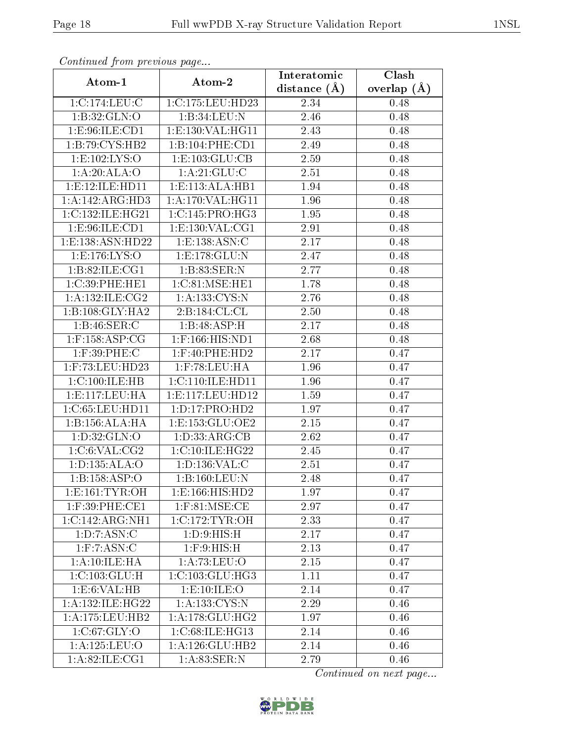| Continuatu jibin prototos puga |                     | Interatomic      | Clash         |
|--------------------------------|---------------------|------------------|---------------|
| Atom-1                         | Atom-2              | distance $(\AA)$ | overlap $(A)$ |
| 1:C:174:LEU:C                  | 1:C:175:LEU:HD23    | 2.34             | 0.48          |
| 1:B:32:GLN:O                   | 1:B:34:LEU:N        | 2.46             | 0.48          |
| 1: E:96: ILE: CD1              | 1:E:130:VAL:HG11    | 2.43             | 0.48          |
| 1:B:79:CYS:HB2                 | 1:B:104:PHE:CD1     | 2.49             | 0.48          |
| 1: E: 102: LYS: O              | 1:E:103:GLU:CB      | $2.59\,$         | 0.48          |
| 1:A:20:ALA:O                   | 1:A:21:GLU:C        | 2.51             | 0.48          |
| 1: E: 12: ILE: HD11            | 1:E:113:ALA:HB1     | 1.94             | 0.48          |
| 1:A:142:ARG:HD3                | 1: A:170: VAL:HGI1  | 1.96             | 0.48          |
| 1:C:132:ILE:HG21               | 1:C:145:PRO:HG3     | 1.95             | 0.48          |
| 1: E:96: ILE: CD1              | 1:E:130:VAL:CG1     | 2.91             | 0.48          |
| 1:E:138:ASN:HD22               | 1:E:138:ASN:C       | 2.17             | 0.48          |
| 1:E:176:LYS:O                  | 1: E: 178: GLU:N    | 2.47             | 0.48          |
| 1:B:82:ILE:CG1                 | 1:B:83:SER:N        | 2.77             | 0.48          |
| 1:C:39:PHE:HE1                 | 1:C:81:MSE:HE1      | 1.78             | 0.48          |
| 1:A:132:ILE:CG2                | 1: A: 133: CYS:N    | 2.76             | 0.48          |
| 1:B:108:GLY:HA2                | 2: B: 184: CL: CL   | 2.50             | 0.48          |
| 1:B:46:SER:C                   | 1:B:48:ASP:H        | 2.17             | 0.48          |
| $1:$ F:158:ASP:CG              | $1:$ F:166:HIS:ND1  | 2.68             | 0.48          |
| $1:$ F:39:PHE:C                | 1:F:40:PHE:HD2      | 2.17             | 0.47          |
| 1:F:73:LEU:HD23                | $1:$ F:78:LEU:HA    | 1.96             | 0.47          |
| 1:C:100:ILE:HB                 | 1:C:110:ILE:HD11    | 1.96             | 0.47          |
| 1: E: 117: LEU: HA             | 1:E:117:LEU:HD12    | 1.59             | 0.47          |
| 1:C:65:LEU:HD11                | 1: D: 17: PRO: HD2  | 1.97             | 0.47          |
| 1:B:156:ALA:HA                 | 1: E: 153: GLU: OE2 | 2.15             | 0.47          |
| 1: D: 32: GLN: O               | 1: D: 33: ARG: CB   | 2.62             | 0.47          |
| 1:C:6:VAL:CG2                  | 1:C:10:ILE:HG22     | 2.45             | 0.47          |
| 1:D:135:ALA:O                  | 1:D:136:VAL:C       | 2.51             | 0.47          |
| 1:B:158:ASP:O                  | 1:B:160:LEU:N       | 2.48             | 0.47          |
| 1: E: 161: TYR: OH             | 1:E:166:HIS:HD2     | 1.97             | 0.47          |
| 1:F:39:PHE:CE1                 | $1:$ F:81:MSE:CE    | 2.97             | 0.47          |
| 1:C:142:ARG:NH1                | 1:C:172:TYR:OH      | 2.33             | 0.47          |
| 1: D: 7: ASN: C                | 1: D:9: HIS:H       | 2.17             | 0.47          |
| $1:$ F:7:ASN:C                 | $1:$ $F:9:$ $HIS:H$ | 2.13             | 0.47          |
| 1: A: 10: ILE: HA              | 1: A:73:LEU:O       | 2.15             | 0.47          |
| 1:C:103:GLU:H                  | 1:C:103:GLU:HG3     | 1.11             | 0.47          |
| 1:E:6:VAL:HB                   | 1: E: 10: ILE: O    | 2.14             | 0.47          |
| 1: A:132: ILE:HG22             | 1: A: 133: CYS:N    | 2.29             | 0.46          |
| 1: A: 175: LEU: HB2            | 1: A:178: GLU: HG2  | 1.97             | 0.46          |
| 1:C:67:GLY:O                   | 1:C:68:ILE:HG13     | 2.14             | 0.46          |
| 1:A:125:LEU:O                  | 1: A:126: GLU:HB2   | 2.14             | 0.46          |
| 1: A:82: ILE:CG1               | 1: A:83: SER: N     | 2.79             | 0.46          |

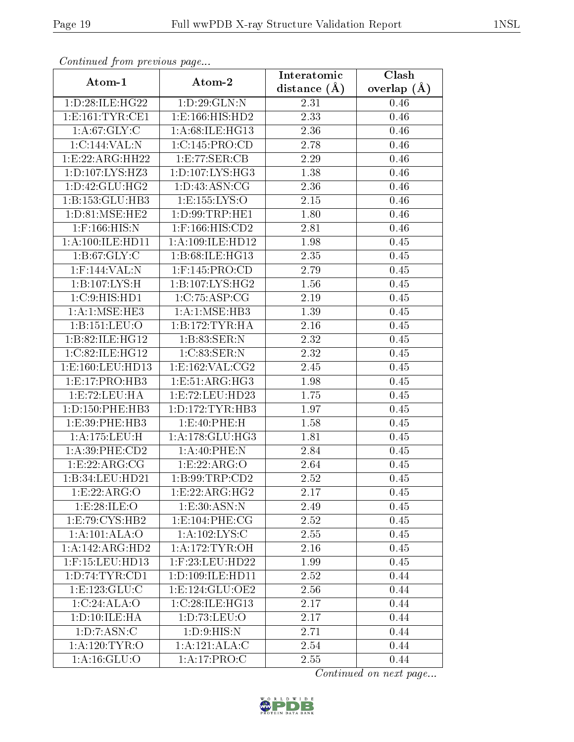| Commuca from previous page |                                     | Interatomic    | Clash           |
|----------------------------|-------------------------------------|----------------|-----------------|
| Atom-1                     | Atom-2                              | distance $(A)$ | overlap $(\AA)$ |
| 1: D:28: ILE: HG22         | 1:D:29:GLN:N                        | 2.31           | 0.46            |
| 1: E: 161: TYR: CE1        | 1: E: 166: HIS: HD2                 | 2.33           | 0.46            |
| 1: A:67: GLY: C            | 1: A:68: ILE: HG13                  | 2.36           | 0.46            |
| 1:C:144:VAL:N              | 1:C:145:PRO:CD                      | 2.78           | 0.46            |
| 1:E:22:ARG:HH22            | 1:E:77:SER:CB                       | 2.29           | 0.46            |
| 1: D: 107: LYS: HZ3        | 1: D: 107: LYS: HG3                 | 1.38           | 0.46            |
| 1: D: 42: GLU: HG2         | 1: D: 43: ASN: CG                   | 2.36           | 0.46            |
| 1:B:153:GLU:HB3            | 1:E:155:LYS:O                       | 2.15           | 0.46            |
| 1: D:81: MSE: HE2          | 1: D: 99: TRP: HE1                  | 1.80           | 0.46            |
| $1:$ F:166:HIS:N           | $1:$ F:166:HIS:CD2                  | 2.81           | 0.46            |
| 1:A:100:ILE:HD11           | 1:A:109:ILE:HD12                    | 1.98           | 0.45            |
| 1: B:67: GLY: C            | 1:B:68:ILE:HG13                     | 2.35           | 0.45            |
| 1:F:144:VAL:N              | 1:F:145:PRO:CD                      | 2.79           | 0.45            |
| 1:B:107:LYS:H              | $1:B:107:\overline{\text{LYS:HG2}}$ | 1.56           | 0.45            |
| 1:C:9:HIS:HD1              | 1:C:75:ASP:CG                       | 2.19           | 0.45            |
| 1:A:1:MSE:HE3              | 1: A:1: MSE:HB3                     | 1.39           | 0.45            |
| 1:B:151:LEU:O              | 1:B:172:TYR:HA                      | 2.16           | 0.45            |
| 1:B:82:ILE:HG12            | 1:B:83:SER:N                        | 2.32           | 0.45            |
| 1:C:82:ILE:HG12            | 1:C:83:SER:N                        | 2.32           | 0.45            |
| 1:E:160:LEU:HD13           | 1:E:162:VAL:CG2                     | 2.45           | 0.45            |
| 1:E:17:PRO:HB3             | 1:E:51:ARG:HG3                      | 1.98           | 0.45            |
| 1:E:72:LEU:HA              | 1:E:72:LEU:HD23                     | 1.75           | 0.45            |
| 1: D: 150: PHE: HB3        | 1: D: 172: TYR: HB3                 | 1.97           | 0.45            |
| 1: E: 39: PHE: HB3         | 1:E:40:PHE:H                        | 1.58           | 0.45            |
| 1:A:175:LEU:H              | 1: A:178: GLU:HG3                   | 1.81           | 0.45            |
| $1: A:39:$ PHE: $CD2$      | 1:A:40:PHE:N                        | 2.84           | 0.45            |
| 1:E:22:ARG:CG              | 1:E:22:ARG:O                        | 2.64           | 0.45            |
| 1:B:34:LEU:HD21            | 1: B:99:TRP:CD2                     | 2.52           | 0.45            |
| 1:E:22:ARG:O               | 1: E: 22: ARG: HG2                  | 2.17           | 0.45            |
| 1:E:28:ILE:O               | 1:E:30:ASN:N                        | 2.49           | 0.45            |
| 1: E: 79: CYS: HB2         | 1: E: 104: PHE: CG                  | 2.52           | 0.45            |
| 1:A:101:ALA:O              | 1: A: 102: LYS: C                   | 2.55           | 0.45            |
| 1:A:142:ARG:HD2            | 1: A:172: TYR:OH                    | 2.16           | 0.45            |
| $1:$ F:15:LEU:HD13         | $1:$ F:23:LEU:HD22                  | 1.99           | 0.45            |
| 1: D:74: TYR: CD1          | 1: D: 109: ILE: HD11                | 2.52           | 0.44            |
| 1: E: 123: GLU: C          | 1: E: 124: GLU: OE2                 | 2.56           | 0.44            |
| 1:C:24:ALA:O               | 1:C:28:ILE:HG13                     | 2.17           | 0.44            |
| 1: D: 10: ILE: HA          | 1: D: 73: LEU: O                    | 2.17           | 0.44            |
| 1: D: 7: ASN: C            | 1: D:9: HIS: N                      | 2.71           | 0.44            |
| 1: A: 120: TYR: O          | 1:A:121:ALA:C                       | 2.54           | 0.44            |
| 1: A: 16: GLU:O            | 1:A:17:PRO:C                        | 2.55           | 0.44            |

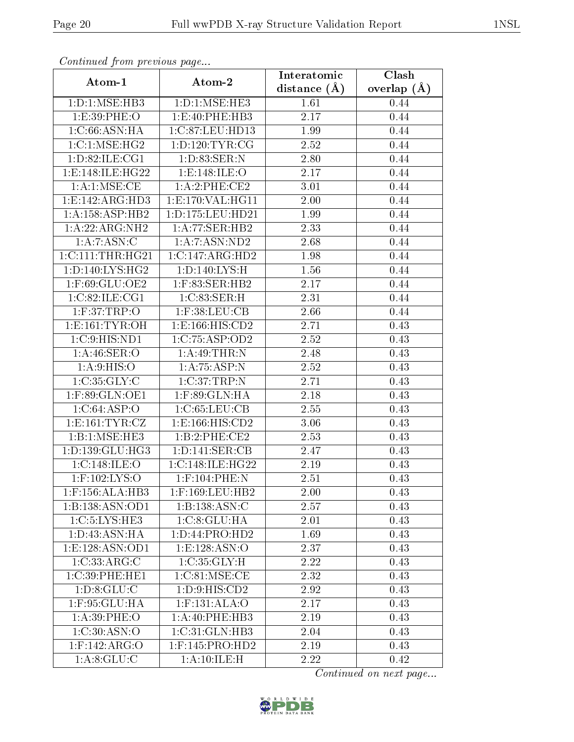| Continued from previous page |                                | Interatomic       | Clash           |  |
|------------------------------|--------------------------------|-------------------|-----------------|--|
| Atom-1                       | Atom-2                         | distance $(A)$    | overlap $(\AA)$ |  |
| 1: D: 1: MSE: HB3            | 1: D: 1: MSE: HE3              | 1.61              | 0.44            |  |
| 1:E:39:PHE:O                 | 1:E:40:PHE:HB3                 | 2.17              | 0.44            |  |
| 1: C:66: ASN: HA             | 1:C:87:LEU:HD13                | 1.99              | 0.44            |  |
| 1:C:1:MSE:HG2                | 1: D: 120: TYR: CG             | 2.52              | 0.44            |  |
| 1: D:82: ILE: CG1            | 1:D:83:SER:N                   | 2.80              | 0.44            |  |
| 1:E:148:ILE:HG22             | 1: E: 148: ILE: O              | 2.17              | 0.44            |  |
| 1: A:1: MSE:CE               | 1:A:2:PHE:CE2                  | 3.01              | 0.44            |  |
| 1:E:142:ARG:HD3              | 1:E:170:VAL:HG11               | 2.00              | 0.44            |  |
| 1: A: 158: ASP: HB2          | 1:D:175:LEU:HD21               | $\overline{1}.99$ | 0.44            |  |
| 1:A:22:ARG:NH2               | 1:A:77:SER:HB2                 | 2.33              | 0.44            |  |
| 1:A:7:ASN:C                  | 1:A:7:ASN:ND2                  | 2.68              | 0.44            |  |
| 1:C:111:THR:HG21             | 1:C:147:ARG:HD2                | 1.98              | 0.44            |  |
| 1: D: 140: LYS: HG2          | 1: D: 140: LYS:H               | 1.56              | 0.44            |  |
| 1:F:69:GLU:OE2               | 1:F:83:SER:HB2                 | 2.17              | 0.44            |  |
| 1:C:82:ILE:CG1               | 1:C:83:SER:H                   | 2.31              | 0.44            |  |
| 1: F:37:TRP:O                | $1:$ F:38:LEU:CB               | 2.66              | 0.44            |  |
| 1: E: 161: TYR: OH           | 1: E: 166: HIS: CD2            | 2.71              | 0.43            |  |
| 1: C:9: HIS: ND1             | 1:C:75:ASP:OD2                 | 2.52              | 0.43            |  |
| 1: A:46: SER:O               | 1: A:49:THR:N                  | 2.48              | 0.43            |  |
| 1: A:9: HIS: O               | 1:A:75:ASP:N                   | 2.52              | 0.43            |  |
| 1:C:35:GLY:C                 | 1:C:37:TRP:N                   | 2.71              | 0.43            |  |
| $1:$ F:89:GLN:OE1            | $1:$ F:89:GLN:HA               | 2.18              | 0.43            |  |
| 1:C:64:ASP:O                 | 1:C:65:LEU:CB                  | 2.55              | 0.43            |  |
| 1: E: 161: TYR: CZ           | 1:E:166:HIS:CD2                | 3.06              | 0.43            |  |
| 1:B:1:MSE:HE3                | 1:B:2:PHE:CE2                  | 2.53              | 0.43            |  |
| 1: D: 139: GLU: HG3          | 1: D: 141: SER: CB             | 2.47              | 0.43            |  |
| 1:C:148:ILE:O                | 1:C:148:ILE:HG22               | 2.19              | 0.43            |  |
| $1:$ F:102:LYS:O             | 1:F:104:PHE:N                  | 2.51              | 0.43            |  |
| 1:F:156:ALA:HB3              | 1:F:169:LEU:HB2                | 2.00              | 0.43            |  |
| 1:B:138:ASN:OD1              | 1:B:138:ASN:C                  | 2.57              | 0.43            |  |
| 1:C:5:LYS:HE3                | 1:C:8:GLU:HA                   | 2.01              | 0.43            |  |
| 1: D: 43: ASN: HA            | 1: D: 44: PRO: HD2             | 1.69              | 0.43            |  |
| 1:E:128:ASN:OD1              | 1: E: 128: ASN:O               | 2.37              | 0.43            |  |
| 1:C:33:ARG:C                 | 1:C:35:GLY:H                   | 2.22              | 0.43            |  |
| 1:C:39:PHE:HE1               | 1:C:81:MSE:CE                  | 2.32              | 0.43            |  |
| 1: D: 8: GLU: C              | 1: D: 9: HIS: CD2              | 2.92              | 0.43            |  |
| $1:$ F:95: $GLU:HA$          | $1:$ F:131:ALA: $\overline{O}$ | 2.17              | 0.43            |  |
| 1: A:39: PHE:O               | 1:A:40:PHE:HB3                 | 2.19              | 0.43            |  |
| 1:C:30:ASN:O                 | 1:C:31:GLN:HB3                 | 2.04              | 0.43            |  |
| $1:$ F:142:ARG:O             | $1:$ F:145:PRO:HD2             | 2.19              | 0.43            |  |
| 1: A:8: GLU: C               | 1:A:10:ILE:H                   | 2.22              | 0.42            |  |

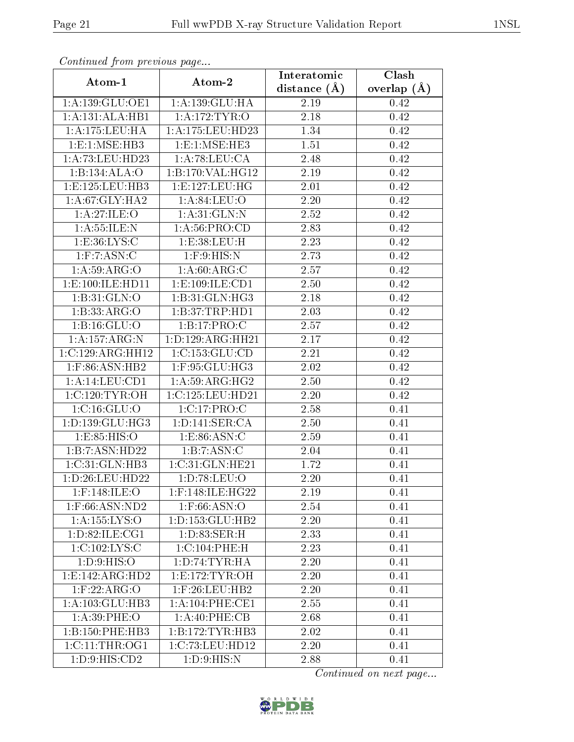| сонинией јтот ртеоючъ раде |                                              | Interatomic    | Clash           |
|----------------------------|----------------------------------------------|----------------|-----------------|
| Atom-1                     | Atom-2                                       | distance $(A)$ | overlap $(\AA)$ |
| 1:A:139:GLU:OE1            | 1:A:139:GLU:HA                               | 2.19           | 0.42            |
| 1:A:131:ALA:HB1            | 1: A:172:TYR:O                               | 2.18           | 0.42            |
| 1: A: 175: LEU: HA         | 1:A:175:LEU:HD23                             | 1.34           | 0.42            |
| 1: E: 1: MSE: HB3          | $1: E: 1: \overline{\text{MSE}: \text{HE3}}$ | 1.51           | 0.42            |
| 1:A:73:LEU:HD23            | 1:A:78:LEU:CA                                | 2.48           | 0.42            |
| 1:B:134:ALA:O              | 1:B:170:VAL:HG12                             | 2.19           | 0.42            |
| 1: E: 125: LEU: HB3        | 1: E: 127: LEU: HG                           | $2.01\,$       | 0.42            |
| 1: A:67: GLY: HA2          | 1: A:84:LEU:O                                | 2.20           | 0.42            |
| 1:A:27:ILE:O               | 1: A:31: GLN:N                               | 2.52           | 0.42            |
| 1: A: 55: ILE:N            | 1: A:56: PRO:CD                              | 2.83           | 0.42            |
| 1: E: 36: LYS: C           | 1:E:38:LEU:H                                 | 2.23           | 0.42            |
| $1:$ F: $7:$ ASN: $C$      | $1:$ F: $9:$ HIS:N                           | 2.73           | 0.42            |
| 1:A:59:ARG:O               | 1: A:60: ARG: C                              | 2.57           | 0.42            |
| 1: E: 100: ILE: HD11       | 1: E: 109: ILE: CD1                          | 2.50           | 0.42            |
| 1:B:31:GLN:O               | 1:B:31:GLN:HG3                               | 2.18           | 0.42            |
| 1:B:33:ARG:O               | 1:B:37:TRP:HDI                               | 2.03           | 0.42            |
| 1: B: 16: GLU: O           | 1:B:17:PRO:C                                 | 2.57           | 0.42            |
| 1:A:157:ARG:N              | 1: D: 129: ARG: HH21                         | 2.17           | 0.42            |
| $1:C:129$ : ARG: HH $12$   | 1:C:153:GLU:CD                               | 2.21           | 0.42            |
| 1:F:86:ASN:HB2             | $1:$ F:95:GLU:HG3                            | 2.02           | 0.42            |
| 1:A:14:LEU:CD1             | 1: A:59: ARG: HG2                            | 2.50           | 0.42            |
| 1:C:120:TYR:OH             | 1:C:125:LEU:HD21                             | 2.20           | 0.42            |
| 1:C:16:GLU:O               | 1:C:17:PRO:C                                 | 2.58           | 0.41            |
| 1:D:139:GLU:HG3            | 1: D: 141: SER: CA                           | 2.50           | 0.41            |
| 1:E:85:HIS:O               | 1: E: 86: ASN: C                             | 2.59           | 0.41            |
| 1:B:7:ASN:HD22             | 1:B:7:ASN:C                                  | 2.04           | 0.41            |
| 1:C:31:GLN:HB3             | 1:C:31:GLN:HE21                              | 1.72           | 0.41            |
| 1:D:26:LEU:HD22            | 1:D:78:LEU:O                                 | $2.20\,$       | 0.41            |
| $1:$ F:148:ILE:O           | 1:F:148:ILE:HG22                             | 2.19           | 0.41            |
| $1:$ F:66:ASN:ND2          | $1:$ F:66:ASN:O                              | 2.54           | 0.41            |
| 1:A:155:LYS:O              | 1: D: 153: GLU: HB2                          | 2.20           | 0.41            |
| 1: D:82: ILE: CG1          | 1: D: 83: SER:H                              | 2.33           | 0.41            |
| 1:C:102:LYS:C              | 1:C:104:PHE:H                                | 2.23           | 0.41            |
| 1: D:9: HIS:O              | 1: D:74: TYR: HA                             | 2.20           | 0.41            |
| 1:E:142:ARG:HD2            | 1:E:172:TYR:OH                               | 2.20           | 0.41            |
| $1:$ F:22:ARG:O            | $1:$ F:26:LEU:HB2                            | 2.20           | 0.41            |
| 1:A:103:GLU:HB3            | 1: A:104:PHE:CE1                             | 2.55           | 0.41            |
| 1: A:39: PHE:O             | 1: A:40:PHE:CB                               | 2.68           | 0.41            |
| 1:B:150:PHE:HB3            | 1:B:172:TYR:HB3                              | 2.02           | 0.41            |
| 1:C:11:THR:OG1             | 1:C:73:LEU:HD12                              | 2.20           | 0.41            |
| 1: D: 9: HIS: CD2          | 1: D:9: HIS:N                                | 2.88           | 0.41            |

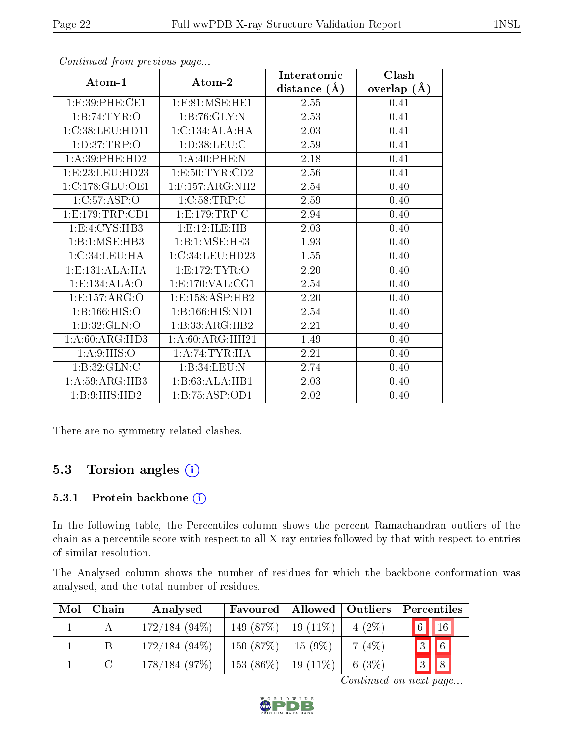|                     |                     | Interatomic      | Clash          |
|---------------------|---------------------|------------------|----------------|
| Atom-1              | Atom-2              | distance $(\AA)$ | (A)<br>overlap |
| 1:F:39:PHE:CE1      | $1:$ F:81:MSE:HE1   | 2.55             | 0.41           |
| 1:B:74:TYR:O        | 1:B:76:GLY:N        | 2.53             | 0.41           |
| 1:C:38:LEU:HDI1     | 1:C:134:ALA:HA      | 2.03             | 0.41           |
| 1: D:37:TRP:O       | 1: D:38: LEU: C     | 2.59             | 0.41           |
| 1: A:39: PHE:HD2    | 1:A:40:PHE:N        | 2.18             | 0.41           |
| 1: E: 23: LEU: HD23 | 1: E:50: TYR:CD2    | 2.56             | 0.41           |
| 1:C:178:GLU:OE1     | $1:$ F:157:ARG:NH2  | 2.54             | 0.40           |
| 1:C:57:ASP:O        | 1:C:58:TRP:C        | 2.59             | 0.40           |
| 1: E: 179: TRP: CD1 | 1:E:179:TRP:C       | 2.94             | 0.40           |
| 1:E:4:CYS:HB3       | 1:E:12:ILE:HB       | 2.03             | 0.40           |
| 1:B:1:MSE:HB3       | 1:B:1:MSE:HE3       | 1.93             | 0.40           |
| 1:C:34:LEU:HA       | 1:C:34:LEU:HD23     | 1.55             | 0.40           |
| 1: E: 131: ALA: HA  | 1:E:172:TYR:O       | 2.20             | 0.40           |
| 1: E: 134: ALA: O   | 1: E: 170: VAL: CG1 | 2.54             | 0.40           |
| 1:E:157:ARG:O       | 1:E:158:ASP:HB2     | 2.20             | 0.40           |
| 1:B:166:HIS:O       | 1:B:166:HIS:ND1     | 2.54             | 0.40           |
| 1:B:32:GLN:O        | 1:B:33:ARG:HB2      | 2.21             | 0.40           |
| 1: A:60: ARG:HD3    | 1:A:60:ARG:HH21     | 1.49             | 0.40           |
| 1: A:9: HIS:O       | 1:A:74:TYR:HA       | 2.21             | 0.40           |
| 1: B:32: GLN: C     | 1:B:34:LEU:N        | 2.74             | 0.40           |
| 1: A:59: ARG:HB3    | 1:B:63:ALA:HB1      | 2.03             | 0.40           |
| 1:B:9:HIS:HD2       | 1:B:75:ASP:OD1      | 2.02             | 0.40           |

There are no symmetry-related clashes.

### 5.3 Torsion angles (i)

#### 5.3.1 Protein backbone (i)

In the following table, the Percentiles column shows the percent Ramachandran outliers of the chain as a percentile score with respect to all X-ray entries followed by that with respect to entries of similar resolution.

The Analysed column shows the number of residues for which the backbone conformation was analysed, and the total number of residues.

| Mol | Chain | Analysed        | Favoured    | Allowed    | Outliers | Percentiles                |
|-----|-------|-----------------|-------------|------------|----------|----------------------------|
|     |       | $172/184(94\%)$ | 149 (87%)   | $19(11\%)$ | $4(2\%)$ | $\boxed{6}$<br>$\vert$ 16  |
|     |       | $172/184(94\%)$ | 150(87%)    | $15(9\%)$  | 7(4%)    | $\boxed{6}$<br>$\boxed{3}$ |
|     |       | 178/184(97%)    | $153(86\%)$ | $19(11\%)$ | 6 $(3%)$ | $\sqrt{8}$<br>$\sqrt{3}$   |

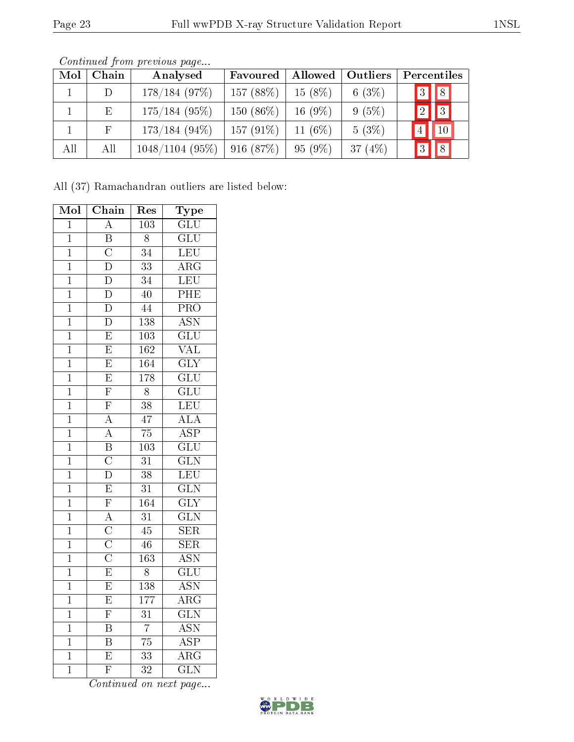| Mol | Chain           | Analysed        | Favoured    | Allowed   | <b>Outliers</b> | Percentiles                         |
|-----|-----------------|-----------------|-------------|-----------|-----------------|-------------------------------------|
|     | D.              | 178/184(97%)    | 157(88%)    | $15(8\%)$ | 6 $(3%)$        | $\boxed{3}$<br>$\vert\vert 8 \vert$ |
|     | $E_{\parallel}$ | $175/184$ (95%) | $150(86\%)$ | $16(9\%)$ | $9(5\%)$        | $\vert\vert$ 3<br>$\boxed{2}$       |
|     | F               | $173/184(94\%)$ | $157(91\%)$ | 11 $(6%)$ | $5(3\%)$        | $ 10\rangle$<br>4 <sup>1</sup>      |
| All | All             | 1048/1104(95%)  | 916(87%)    | $95(9\%)$ | 37 $(4%)$       | $\vert 8 \vert$<br> 3               |

Continued from previous page...

All (37) Ramachandran outliers are listed below:

| Mol            | Chain                   | Res              | Type                    |
|----------------|-------------------------|------------------|-------------------------|
| $\overline{1}$ | $\overline{\rm A}$      | $\overline{103}$ | $\overline{\text{GLU}}$ |
| $\mathbf{1}$   | $\overline{\mathbf{B}}$ | $\overline{8}$   | $\overline{\text{GLU}}$ |
| $\overline{1}$ | $\overline{\rm C}$      | $\overline{34}$  | LEU                     |
| $\overline{1}$ | $\overline{\mathrm{D}}$ | $\overline{33}$  | $\overline{\rm{ARG}}$   |
| $\mathbf{1}$   | $\overline{\text{D}}$   | $\overline{34}$  | LEU                     |
| $\overline{1}$ | $\overline{\rm D}$      | $\overline{40}$  | $\overline{\text{PHE}}$ |
| $\mathbf{1}$   | $\overline{\rm D}$      | $\overline{44}$  | PRO                     |
| $\overline{1}$ | $\overline{\rm D}$      | $\overline{138}$ | $\overline{\text{ASN}}$ |
| $\overline{1}$ | $\overline{E}$          | $\overline{103}$ | $\overline{{\rm GLU}}$  |
| $\overline{1}$ | $\overline{E}$          | $\overline{162}$ | $\overline{\text{VAL}}$ |
| $\overline{1}$ | $\overline{E}$          | 164              | $\overline{\text{GLY}}$ |
| $\mathbf{1}$   | $\overline{E}$          | $\overline{178}$ | $\overline{\text{GLU}}$ |
| $\overline{1}$ | $\overline{\mathrm{F}}$ | $\overline{8}$   | $\overline{\text{GLU}}$ |
| $\overline{1}$ | $\overline{\mathrm{F}}$ | $\overline{38}$  | LEU                     |
| $\overline{1}$ | $\overline{A}$          | $\overline{47}$  | $\overline{\text{ALA}}$ |
| $\overline{1}$ | $\overline{A}$          | $\overline{75}$  | $\overline{\text{ASP}}$ |
| $\mathbf{1}$   | $\overline{\mathbf{B}}$ | $\overline{103}$ | $\overline{{\rm GLU}}$  |
| $\overline{1}$ | $\frac{1}{C}$           | $\overline{31}$  | $\overline{\text{GLN}}$ |
| $\overline{1}$ | $\overline{\rm D}$      | $\overline{38}$  | LEU                     |
| $\overline{1}$ | $\overline{E}$          | $\overline{31}$  | $\overline{\text{GLN}}$ |
| $\overline{1}$ | $\overline{\mathrm{F}}$ | 164              | $\overline{\text{GLY}}$ |
| $\mathbf{1}$   | $\overline{A}$          | $\overline{31}$  | $\overline{\text{GLN}}$ |
| $\overline{1}$ | $\frac{1}{C}$           | $\overline{45}$  | $\overline{\text{SER}}$ |
| $\overline{1}$ | $\overline{\rm C}$      | $\overline{46}$  | $\overline{\text{SER}}$ |
| $\overline{1}$ | $\overline{\rm C}$      | $\overline{163}$ | <b>ASN</b>              |
| $\overline{1}$ | $\overline{E}$          | $\overline{8}$   | $\overline{\text{GLU}}$ |
| $\overline{1}$ | $\overline{E}$          | $\overline{138}$ | <b>ASN</b>              |
| $\overline{1}$ | $\overline{\mathrm{E}}$ | $\overline{177}$ | $\overline{\rm{ARG}}$   |
| $\mathbf{1}$   | $\overline{\mathrm{F}}$ | $\overline{31}$  | $\overline{\text{GLN}}$ |
| $\overline{1}$ | $\overline{\mathrm{B}}$ | $\overline{7}$   | $\overline{\text{ASN}}$ |
| $\overline{1}$ | $\overline{\mathrm{B}}$ | $\overline{75}$  | $\overline{\text{ASP}}$ |
| $\overline{1}$ | $\overline{\mathrm{E}}$ | $\overline{33}$  | $\overline{\rm{ARG}}$   |
| $\overline{1}$ | $\overline{\mathrm{F}}$ | $\overline{32}$  | $\overline{\text{GLN}}$ |

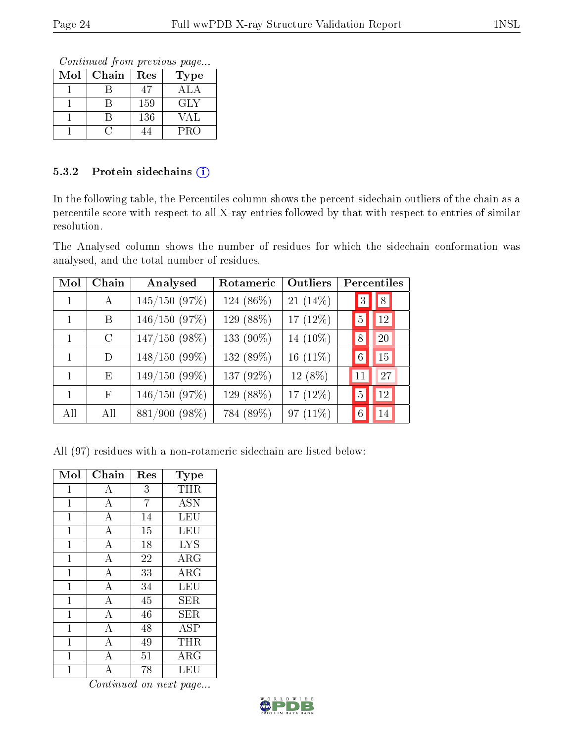Continued from previous page...

| Mol | Chain | Res | Type             |
|-----|-------|-----|------------------|
|     |       | 47  | A <sub>L</sub> A |
|     |       | 159 | GLY              |
|     |       | 136 | VAL              |
|     |       |     | <b>PRO</b>       |

#### 5.3.2 Protein sidechains (i)

In the following table, the Percentiles column shows the percent sidechain outliers of the chain as a percentile score with respect to all X-ray entries followed by that with respect to entries of similar resolution.

The Analysed column shows the number of residues for which the sidechain conformation was analysed, and the total number of residues.

| Mol          | Chain   | Analysed        | Rotameric | Outliers    | Percentiles          |
|--------------|---------|-----------------|-----------|-------------|----------------------|
| 1            | А       | $145/150$ (97%) | 124 (86%) | 21 $(14\%)$ | 8<br>3               |
|              | B       | $146/150$ (97%) | 129 (88%) | 17 $(12\%)$ | 12<br>5              |
| $\mathbf{1}$ | $\rm C$ | $147/150$ (98%) | 133 (90%) | 14 $(10\%)$ | 20<br>8              |
| 1            | D       | $148/150(99\%)$ | 132 (89%) | 16 $(11\%)$ | 15<br>$\overline{6}$ |
|              | E       | $149/150(99\%)$ | 137 (92%) | 12 (8%)     | 27<br>11             |
| $\mathbf{1}$ | F       | 146/150 (97%)   | 129 (88%) | 17 $(12%)$  | 12<br>5              |
| All          | All     | 881/900 (98%)   | 784 (89%) | 97 $(11\%)$ | 14<br>6              |

All (97) residues with a non-rotameric sidechain are listed below:

| Mol            | Chain              | Res | Type       |
|----------------|--------------------|-----|------------|
| $\mathbf{1}$   | A                  | 3   | THR        |
| $\overline{1}$ | $\boldsymbol{A}$   | 7   | <b>ASN</b> |
| $\mathbf{1}$   | $\bf{A}$           | 14  | LEU        |
| $\mathbf{1}$   | $\overline{A}$     | 15  | <b>LEU</b> |
| $\overline{1}$ | $\bf{A}$           | 18  | <b>LYS</b> |
| $\mathbf{1}$   | $\overline{A}$     | 22  | ARG        |
| $\overline{1}$ | $\overline{\rm A}$ | 33  | ARG        |
| $\overline{1}$ | $\overline{A}$     | 34  | LEU        |
| $\overline{1}$ | $\overline{A}$     | 45  | SER        |
| $\overline{1}$ | $\overline{\rm A}$ | 46  | SER        |
| $\mathbf{1}$   | $\bf{A}$           | 48  | ASP        |
| $\overline{1}$ | $\overline{\rm A}$ | 49  | THR        |
| $\mathbf{1}$   | $\bf{A}$           | 51  | ARG        |
| 1              | А                  | 78  | LEU        |

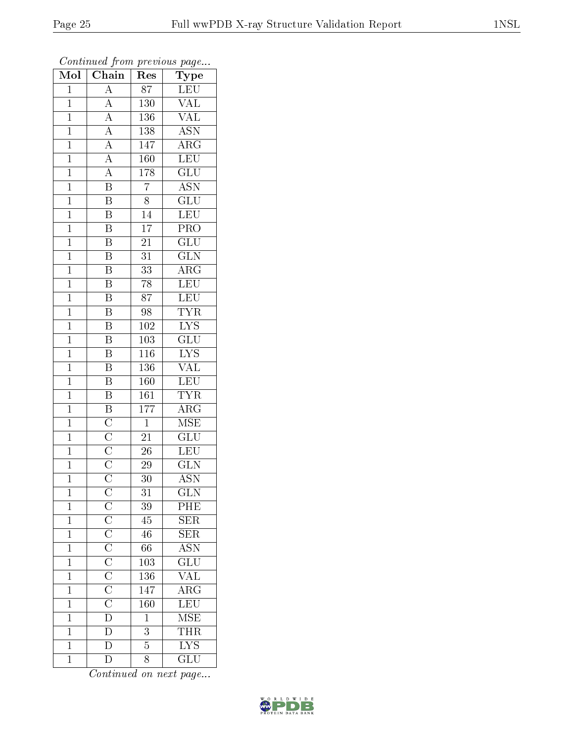| $\overline{\text{Mol}}$ | $\boldsymbol{\mathcal{L}}$<br>$\overline{\text{Chain}}$                                             | ı.<br>Res        | $\mathbf{r}$<br>$\cdot$<br>Type            |
|-------------------------|-----------------------------------------------------------------------------------------------------|------------------|--------------------------------------------|
| $\mathbf{1}$            | $\overline{A}$                                                                                      | $8\overline{7}$  | ${\rm LEU}$                                |
| $\overline{1}$          | $\overline{A}$                                                                                      | 130              | $\overline{\text{VAL}}$                    |
| $\overline{1}$          |                                                                                                     | 136              | $\overline{\text{VAL}}$                    |
| $\mathbf{1}$            |                                                                                                     | 138              | <b>ASN</b>                                 |
| $\overline{1}$          | $\frac{\overline{A}}{\overline{A}}$ $\frac{\overline{A}}{\overline{A}}$                             | 147              | $\overline{\rm{ARG}}$                      |
| $\overline{1}$          |                                                                                                     | 160              | LEU                                        |
| $\overline{1}$          | $\overline{A}$                                                                                      | 178              | $\overline{\text{GLU}}$                    |
| $\mathbf{1}$            | $\overline{\mathbf{B}}$                                                                             | $\overline{7}$   | $\overline{\mathrm{ASN}}$                  |
| $\mathbf{1}$            | $\overline{\mathbf{B}}$                                                                             | 8                | $\overline{\text{GLU}}$                    |
| $\mathbf{1}$            | $\overline{\mathbf{B}}$                                                                             | $\overline{14}$  | $\overline{\text{LEU}}$                    |
| $\mathbf{1}$            | $\overline{\mathrm{B}}$                                                                             | $\overline{17}$  | $\overline{\text{PRO}}$                    |
| $\overline{1}$          | $\overline{\mathrm{B}}$                                                                             | $\overline{21}$  | $\overline{{\rm GLU}}$                     |
| $\overline{1}$          | $\overline{\mathrm{B}}$                                                                             | 31               | $\overline{\text{GLN}}$                    |
| $\mathbf{1}$            | $\boldsymbol{\mathrm{B}}$                                                                           | 33               | $\overline{\text{ARG}}$                    |
| $\mathbf{1}$            | $\overline{\mathrm{B}}$                                                                             | 78               | LEU                                        |
| $\overline{1}$          | $\overline{\mathbf{B}}$                                                                             | $\overline{87}$  | LEU                                        |
| $\overline{1}$          | $\overline{\mathrm{B}}$                                                                             | 98               | $\overline{\text{TYR}}$                    |
| $\overline{1}$          | $\overline{\mathrm{B}}$                                                                             | 102              | $\overline{\text{LYS}}$                    |
| $\mathbf{1}$            | $\overline{\mathrm{B}}$                                                                             | 103              | $\overline{\text{GLU}}$                    |
| $\overline{1}$          | $\overline{\mathrm{B}}$                                                                             | <b>116</b>       | <b>LYS</b>                                 |
| $\mathbf{1}$            | $\overline{\mathrm{B}}$                                                                             | 136              | $\overline{\text{VAL}}$                    |
| $\overline{1}$          | $\overline{\mathbf{B}}$                                                                             | 160              | LEU                                        |
| $\mathbf 1$             | $\overline{\mathbf{B}}$                                                                             | $\overline{161}$ | <b>TYR</b>                                 |
| $\overline{1}$          |                                                                                                     | 177              | $\bar{\rm{ARG}}$                           |
| $\mathbf{1}$            |                                                                                                     | $\overline{1}$   | <b>MSE</b>                                 |
| $\overline{1}$          | $\frac{\overline{\text{B}}}{\overline{\text{C}}}} \frac{\overline{\text{C}}}{\overline{\text{C}}}}$ | 21               | $\overline{\text{GLU}}$                    |
| $\mathbf{1}$            |                                                                                                     | $\overline{26}$  | LEU                                        |
| $\mathbf{1}$            |                                                                                                     | 29               | $\overline{\text{GLN}}$                    |
| $\overline{1}$          |                                                                                                     | $\bar{3}0$       | <b>ASN</b>                                 |
| $\mathbf 1$             |                                                                                                     | $31\,$           | $_{\rm GLN}$                               |
| $\mathbf{1}$            | $C$ $C$ $C$ $C$ $C$ $C$ $C$ $C$ $C$ $D$ $D$ $D$ $D$                                                 | 39               | $\overline{PHE}$                           |
| $\overline{1}$          |                                                                                                     | $\overline{45}$  | $\overline{\text{SER}}$                    |
| $\mathbf{1}$            |                                                                                                     | 46               | <b>SER</b>                                 |
| $\mathbf 1$             |                                                                                                     | $\overline{66}$  | $\overline{\mathrm{ASN}}$                  |
| $\mathbf 1$             |                                                                                                     | 103              | $\overline{{\rm GLU}}$                     |
| $\overline{1}$          |                                                                                                     | $\overline{136}$ | $\overline{\text{VAL}}$                    |
| $\mathbf 1$             |                                                                                                     | 147              | $\frac{\overline{\text{ARG}}}{\text{LEU}}$ |
| $\mathbf 1$             |                                                                                                     | 160              |                                            |
| $\mathbf 1$             |                                                                                                     | $\overline{1}$   | MSE                                        |
| $\mathbf{1}$            |                                                                                                     | $\overline{3}$   | <b>THR</b>                                 |
| $\overline{1}$          |                                                                                                     | $\overline{5}$   | $\overline{\text{LYS}}$                    |
| $\overline{1}$          | $\overline{\rm D}$                                                                                  | 8                | $\overline{{\rm GLU}}$                     |

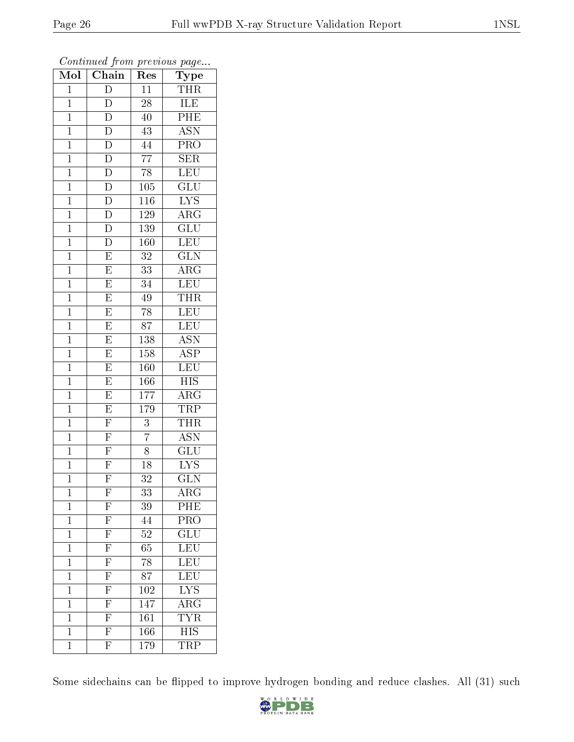| Mol            | $\overline{\text{Chain}}$                                                                                            | Res              | $\overline{\phantom{a}}$<br>Type |
|----------------|----------------------------------------------------------------------------------------------------------------------|------------------|----------------------------------|
| $\mathbf{1}$   | D                                                                                                                    | 11               | <b>THR</b>                       |
| $\mathbf 1$    | D                                                                                                                    | $\overline{28}$  | ILE                              |
| $\mathbf{1}$   | $\overline{D}$                                                                                                       | 40               | PHE                              |
| $\overline{1}$ | $\overline{\rm D}$                                                                                                   | 43               | $\overline{\mathrm{ASN}}$        |
| $\overline{1}$ | $\overline{D}$                                                                                                       | $\overline{4}4$  | $\overline{\text{PRO}}$          |
| $\mathbf{1}$   | $\overline{\rm D}$                                                                                                   | $\overline{77}$  | SER                              |
| $\mathbf{1}$   | $\overline{D}$                                                                                                       | $\overline{78}$  | $\overline{\text{LEU}}$          |
| $\mathbf{1}$   | $\overline{D}$                                                                                                       | $\overline{1}05$ | $\overline{\text{GLU}}$          |
| $\mathbf{1}$   | $\overline{D}$                                                                                                       | 116              | $\overline{\text{LYS}}$          |
| $\mathbf{1}$   | $\overline{D}$                                                                                                       | 129              | $\overline{\rm{ARG}}$            |
| $\mathbf{1}$   | $\overline{D}$                                                                                                       | 139              | GLU                              |
| $\mathbf{1}$   | $\overline{D}$                                                                                                       | 160              | LEU                              |
| $\mathbf{1}$   | $\overline{E}$                                                                                                       | $3\sqrt{2}$      | $\overline{\text{GLN}}$          |
| $\mathbf{1}$   | $\overline{E}$                                                                                                       | 33               | $\overline{\text{ARG}}$          |
| $\mathbf{1}$   | $\overline{E}$                                                                                                       | $\overline{34}$  | $\overline{\text{LEU}}$          |
| $\mathbf{1}$   | $\overline{E}$                                                                                                       | 49               | $\overline{\text{THR}}$          |
| $\overline{1}$ | $\overline{E}$                                                                                                       | $\overline{78}$  | LEU                              |
| $\mathbf{1}$   | $\overline{E}$                                                                                                       | 87               | LEU                              |
| $\overline{1}$ | $\overline{\mathrm{E}}$                                                                                              | 138              | $\overline{\text{ASN}}$          |
| $\mathbf{1}$   | $\overline{E}$                                                                                                       | 158              | $\overline{\text{ASP}}$          |
| $\mathbf 1$    | $\overline{E}$                                                                                                       | 160              | LEU                              |
| $\mathbf{1}$   | $\overline{E}$                                                                                                       | 166              | <b>HIS</b>                       |
| $\overline{1}$ | $\overline{E}$                                                                                                       | 177              | $\overline{\rm{ARG}}$            |
| $\mathbf{1}$   | $\overline{E}$                                                                                                       | 179              | TRP                              |
| $\mathbf{1}$   | $\overline{\mathrm{F}}$                                                                                              | $\overline{3}$   | <b>THR</b>                       |
| $\mathbf{1}$   | $\frac{\overline{F}}{\overline{F}}$                                                                                  | $\overline{7}$   | <b>ASN</b>                       |
| $\mathbf{1}$   |                                                                                                                      | 8                | $\overline{\text{GLU}}$          |
| $\mathbf{1}$   | $\overline{F}$                                                                                                       | 18               | ${\rm LYS}$                      |
| $\mathbf 1$    | $\overline{\mathrm{F}}$                                                                                              | $\overline{32}$  | $\overline{\text{GLN}}$          |
| 1              | $\mathbf{F}$                                                                                                         | 33               | $\rm{ARG}$                       |
| $\mathbf 1$    | F                                                                                                                    | 39               | PHE                              |
| $\mathbf 1$    | $\frac{\overline{\text{F}}}{\text{F}}$ $\frac{\overline{\text{F}}}{\text{F}}$ $\frac{\overline{\text{F}}}{\text{F}}$ | 44               | $\overline{\text{PRO}}$          |
| $\mathbf 1$    |                                                                                                                      | $\overline{5}2$  | $\overline{\text{GLU}}$          |
| $\mathbf 1$    |                                                                                                                      | $\overline{65}$  | $\overline{\text{LEU}}$          |
| $\mathbf 1$    |                                                                                                                      | 78               | LEU                              |
| $\mathbf 1$    |                                                                                                                      | $\overline{87}$  | $\overline{\text{LEU}}$          |
| $\mathbf 1$    | $\overline{\mathrm{F}}$                                                                                              | 102              | $\overline{\text{LYS}}$          |
| $\mathbf 1$    | $\overline{\mathrm{F}}$                                                                                              | 147              | $\overline{\rm{ARG}}$            |
| $\mathbf 1$    | $\overline{\mathrm{F}}$                                                                                              | $\overline{161}$ | <b>TYR</b>                       |
| $\mathbf 1$    | $\overline{\mathrm{F}}$                                                                                              | 166              | $\overline{\mathrm{HIS}}$        |
| $\mathbf 1$    | $\overline{\mathrm{F}}$                                                                                              | 179              | $\overline{\text{TRP}}$          |

Some sidechains can be flipped to improve hydrogen bonding and reduce clashes. All (31) such

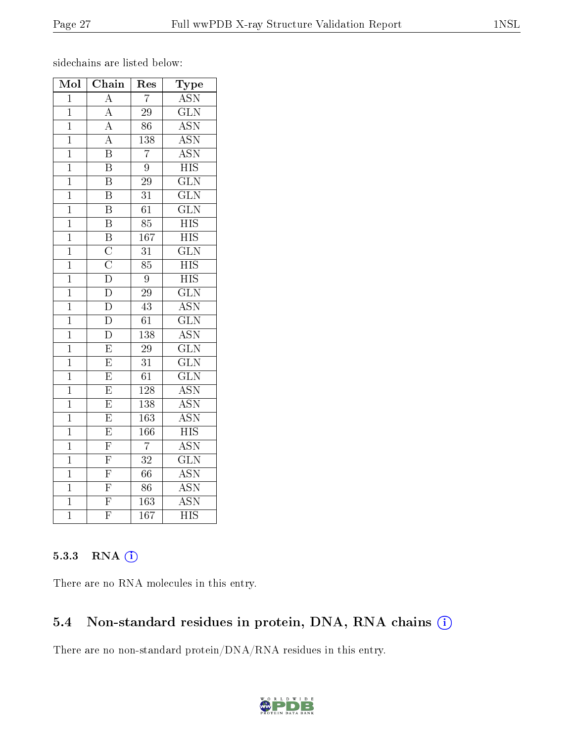sidechains are listed below:

| Mol            | Chain                               | ${\mathop{\mathrm{Res}}\nolimits}$ | Type                      |
|----------------|-------------------------------------|------------------------------------|---------------------------|
| $\overline{1}$ | $\overline{A}$                      | $\overline{7}$                     | <b>ASN</b>                |
| $\mathbf{1}$   | $\boldsymbol{A}$                    | $\overline{29}$                    | $\overline{\text{GLN}}$   |
| $\overline{1}$ | $\overline{A}$                      | 86                                 | $\overline{\text{ASN}}$   |
| $\overline{1}$ | $\overline{A}$                      | 138                                | $\overline{\text{ASN}}$   |
| $\mathbf 1$    | $\overline{\mathrm{B}}$             | $\overline{7}$                     | $\overline{\text{ASN}}$   |
| $\mathbf 1$    | $\overline{\mathrm{B}}$             | $\overline{9}$                     | <b>HIS</b>                |
| $\overline{1}$ | $\overline{\mathrm{B}}$             | $\overline{29}$                    | $\overline{\text{GLN}}$   |
| $\overline{1}$ | $\overline{\mathbf{B}}$             | $\overline{31}$                    | $\overline{\text{GLN}}$   |
| $\mathbf 1$    | $\overline{\mathrm{B}}$             | $\overline{61}$                    | $\overline{\text{GLN}}$   |
| $\overline{1}$ | $\overline{\mathrm{B}}$             | 85                                 | $\overline{HIS}$          |
| $\mathbf 1$    | $\overline{\mathrm{B}}$             | 167                                | $\overline{HIS}$          |
| $\mathbf 1$    | $\overline{\text{C}}$               | $\overline{31}$                    | $\overline{\text{GLN}}$   |
| $\overline{1}$ | $\frac{\overline{C}}{\overline{D}}$ | $\overline{85}$                    | $\overline{HIS}$          |
| $\mathbf 1$    |                                     | $\boldsymbol{9}$                   | $\overline{HIS}$          |
| $\overline{1}$ | $\overline{\mathbf{D}}$             | $\overline{29}$                    | $\overline{\text{GLN}}$   |
| $\overline{1}$ | $\overline{\rm D}$                  | $\overline{43}$                    | $\overline{\mathrm{ASN}}$ |
| $\mathbf 1$    | $\overline{\rm D}$                  | 61                                 | $\overline{\text{GLN}}$   |
| $\mathbf 1$    | $\overline{D}$                      | $\overline{138}$                   | $\overline{\text{ASN}}$   |
| $\mathbf 1$    | $\overline{\mathrm{E}}$             | $\overline{29}$                    | $\overline{\text{GLN}}$   |
| $\overline{1}$ | $\overline{E}$                      | $\overline{31}$                    | $\overline{\text{GLN}}$   |
| $\mathbf 1$    | $\overline{E}$                      | $\overline{61}$                    | $\overline{\text{GLN}}$   |
| $\mathbf{1}$   | $\overline{\mathrm{E}}$             | $\overline{128}$                   | $\overline{\mathrm{ASN}}$ |
| $\mathbf 1$    | $\overline{\mathrm{E}}$             | 138                                | $\overline{\text{ASN}}$   |
| $\overline{1}$ | $\overline{\mathrm{E}}$             | 163                                | $\overline{\text{ASN}}$   |
| $\overline{1}$ | $\overline{E}$                      | 166                                | $\overline{\mathrm{HIS}}$ |
| $\mathbf 1$    | $\overline{\mathrm{F}}$             | $\overline{7}$                     | $\overline{\text{ASN}}$   |
| $\overline{1}$ | $\overline{\mathrm{F}}$             | $\overline{32}$                    | $\overline{\text{GLN}}$   |
| $\overline{1}$ | $\frac{\overline{F}}{\overline{F}}$ | $\overline{66}$                    | <b>ASN</b>                |
| $\mathbf 1$    |                                     | $\overline{86}$                    | $\overline{\mathrm{ASN}}$ |
| $\mathbf 1$    | $\overline{\mathrm{F}}$             | $\overline{163}$                   | $\overline{\text{ASN}}$   |
| $\overline{1}$ | $\overline{\mathrm{F}}$             | $\overline{167}$                   | $\overline{\text{HIS}}$   |

#### 5.3.3 RNA (i)

There are no RNA molecules in this entry.

#### 5.4 Non-standard residues in protein, DNA, RNA chains (i)

There are no non-standard protein/DNA/RNA residues in this entry.

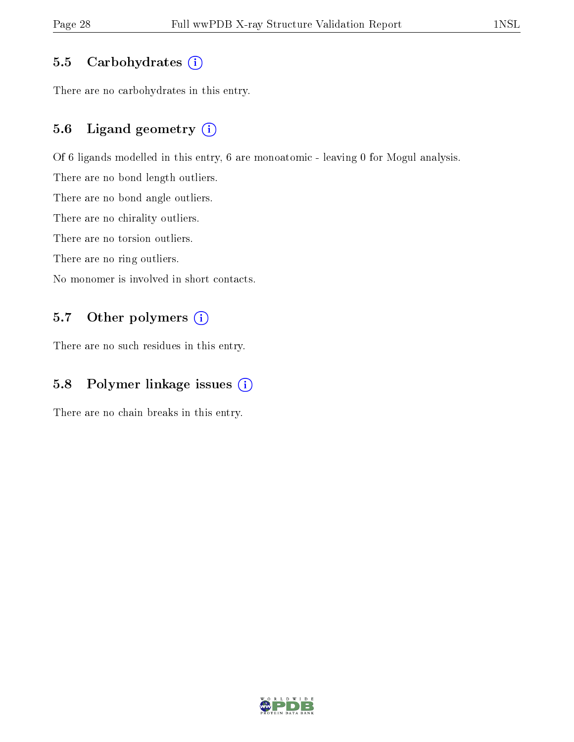#### 5.5 Carbohydrates  $(i)$

There are no carbohydrates in this entry.

#### 5.6 Ligand geometry (i)

Of 6 ligands modelled in this entry, 6 are monoatomic - leaving 0 for Mogul analysis.

There are no bond length outliers.

There are no bond angle outliers.

There are no chirality outliers.

There are no torsion outliers.

There are no ring outliers.

No monomer is involved in short contacts.

#### 5.7 [O](https://www.wwpdb.org/validation/2017/XrayValidationReportHelp#nonstandard_residues_and_ligands)ther polymers (i)

There are no such residues in this entry.

#### 5.8 Polymer linkage issues (i)

There are no chain breaks in this entry.

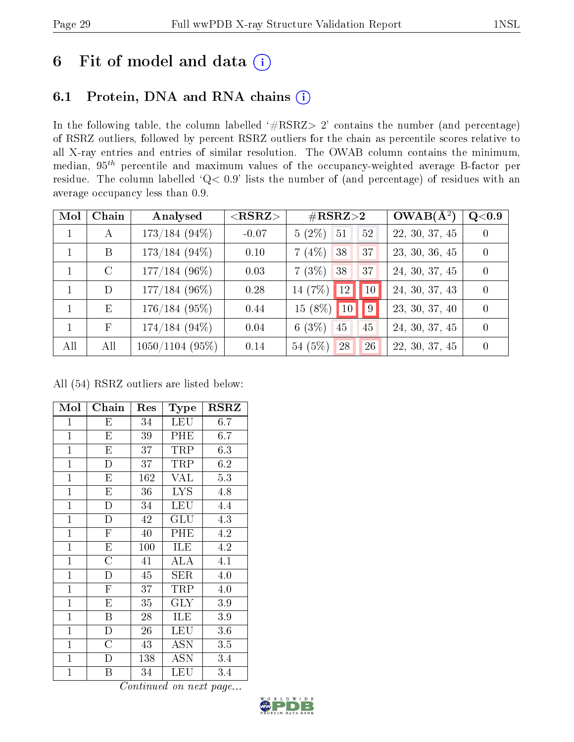## 6 Fit of model and data  $(i)$

### 6.1 Protein, DNA and RNA chains  $(i)$

In the following table, the column labelled  $#RSRZ> 2'$  contains the number (and percentage) of RSRZ outliers, followed by percent RSRZ outliers for the chain as percentile scores relative to all X-ray entries and entries of similar resolution. The OWAB column contains the minimum, median,  $95<sup>th</sup>$  percentile and maximum values of the occupancy-weighted average B-factor per residue. The column labelled ' $Q< 0.9$ ' lists the number of (and percentage) of residues with an average occupancy less than 0.9.

| Mol          | Chain        | Analysed          | $<$ RSRZ $>$ | $\#\text{RSRZ}{>}2$           |    | $OWAB(A^2)$    | $\rm Q\textcolor{black}{<}0.9$ |
|--------------|--------------|-------------------|--------------|-------------------------------|----|----------------|--------------------------------|
| $\mathbf{1}$ | А            | $173/184(94\%)$   | $-0.07$      | $5(2\%)$<br>$\sqrt{51}$<br>52 |    | 22, 30, 37, 45 | $\Omega$                       |
| $\mathbf{1}$ | B            | $173/184$ (94\%)  | 0.10         | $7(4\%)$ 38<br>37             |    | 23, 30, 36, 45 | $\Omega$                       |
|              | $\rm C$      | $177/184~(96\%)$  | 0.03         | $7(3\%)$<br>38<br>37          |    | 24, 30, 37, 45 | $\Omega$                       |
|              | D            | $177/184~(96\%)$  | 0.28         | 14 $(7%)$<br>12               | 10 | 24, 30, 37, 43 | $\Omega$                       |
| $\mathbf{1}$ | E            | $176/184$ (95%)   | 0.44         | $15(8\%)$<br>10               | 9  | 23, 30, 37, 40 | $\Omega$                       |
| $\mathbf{1}$ | $\mathbf{F}$ | $174/184(94\%)$   | 0.04         | 6(3%)<br>45<br>45             |    | 24, 30, 37, 45 | $\Omega$                       |
| All          | All          | $1050/1104$ (95%) | 0.14         | 54(5%)<br>28                  | 26 | 22, 30, 37, 45 |                                |

All (54) RSRZ outliers are listed below:

| Mol            | Chain                   | Res | Type       | <b>RSRZ</b> |
|----------------|-------------------------|-----|------------|-------------|
| $\mathbf{1}$   | Е                       | 34  | <b>LEU</b> | 6.7         |
| $\mathbf{1}$   | E                       | 39  | PHE        | 6.7         |
| $\mathbf{1}$   | $\overline{\mathrm{E}}$ | 37  | TRP        | 6.3         |
| $\mathbf{1}$   | D                       | 37  | TRP        | 6.2         |
| $\overline{1}$ | E                       | 162 | VAL        | 5.3         |
| $\overline{1}$ | E                       | 36  | <b>LYS</b> | 4.8         |
| $\overline{1}$ | $\mathbf{D}$            | 34  | <b>LEU</b> | 4.4         |
| $\mathbf{1}$   | $\overline{D}$          | 42  | GLU        | 4.3         |
| $\mathbf{1}$   | $\mathbf F$             | 40  | PHE        | 4.2         |
| $\mathbf{1}$   | E                       | 100 | ILE        | 4.2         |
| $\mathbf{1}$   | $\overline{\rm C}$      | 41  | ALA        | 4.1         |
| $\overline{1}$ | $\overline{D}$          | 45  | <b>SER</b> | 4.0         |
| $\mathbf{1}$   | $\overline{\mathrm{F}}$ | 37  | TRP        | 4.0         |
| $\overline{1}$ | E                       | 35  | <b>GLY</b> | 3.9         |
| $\mathbf{1}$   | B                       | 28  | ILE        | 3.9         |
| $\mathbf{1}$   | $\mathbf D$             | 26  | <b>LEU</b> | $3.6\,$     |
| $\mathbf{1}$   | $\overline{\rm C}$      | 43  | ASN        | 3.5         |
| $\mathbf{1}$   | D                       | 138 | <b>ASN</b> | 3.4         |
| $\mathbf{1}$   | Β                       | 34  | LEU        | 3.4         |

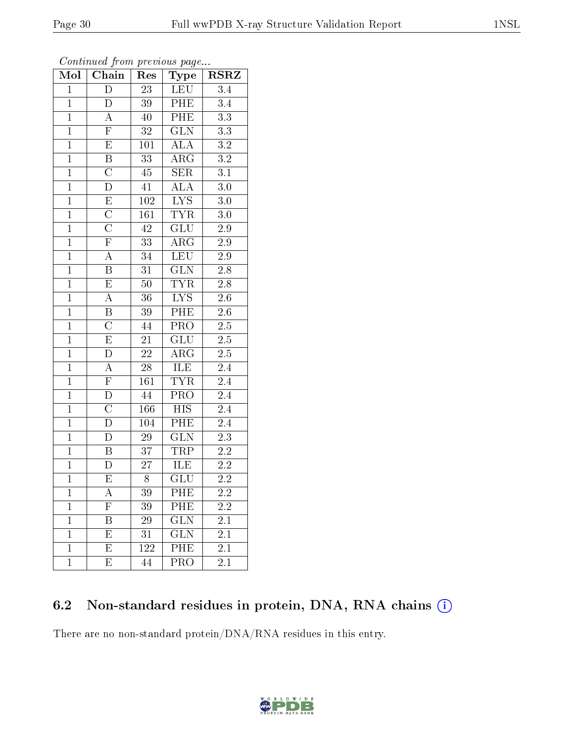| $\text{Mol}$   | Chain                   | Res              | Type                      | <b>RSRZ</b>      |
|----------------|-------------------------|------------------|---------------------------|------------------|
| $\overline{1}$ | $\overline{\rm D}$      | $\overline{23}$  | LEU                       | 3.4              |
| $\mathbf{1}$   | D                       | 39               | PHE                       | $\overline{3.4}$ |
| $\overline{1}$ | A                       | 40               | PHE                       | $\overline{3.3}$ |
| $\overline{1}$ | $\overline{\mathrm{F}}$ | 32               | GLN                       | $3.3\,$          |
| $\overline{1}$ | $\overline{E}$          | 101              | ALA                       | $\overline{3.2}$ |
| $\overline{1}$ | $\overline{B}$          | 33               | ARG                       | $\overline{3.2}$ |
| $\overline{1}$ | $\overline{\text{C}}$   | 45               | $\overline{\text{SER}}$   | $\overline{3.1}$ |
| $\mathbf{1}$   | $\overline{\rm D}$      | 41               | $\overline{\text{ALA}}$   | 3.0              |
| $\mathbf{1}$   | $\overline{E}$          | $\overline{1}02$ | $\overline{\text{LYS}}$   | $3.0\,$          |
| $\overline{1}$ | $\overline{C}$          | 161              | <b>TYR</b>                | $3.0\,$          |
| $\mathbf{1}$   | $\overline{\rm C}$      | 42               | GLU                       | $2.9\,$          |
| $\overline{1}$ | $\overline{\mathrm{F}}$ | $\overline{33}$  | $\overline{\rm{ARG}}$     | $\overline{2.9}$ |
| $\overline{1}$ | $\overline{A}$          | 34               | <b>LEU</b>                | $2.9\,$          |
| $\overline{1}$ | $\, {\bf B}$            | 31               | <b>GLN</b>                | $2.8\,$          |
| $\overline{1}$ | $\overline{\mathrm{E}}$ | 50               | <b>TYR</b>                | $\overline{2.8}$ |
| $\overline{1}$ | $\overline{A}$          | 36               | $\overline{\text{LYS}}$   | $\overline{2.6}$ |
| $\overline{1}$ | $\overline{\mathrm{B}}$ | $39\,$           | PHE                       | $\overline{2.6}$ |
| $\overline{1}$ | $\overline{\rm C}$      | 44               | $\overline{\text{PRO}}$   | $\overline{2.5}$ |
| $\mathbf{1}$   | $\overline{\mathrm{E}}$ | 21               | GLU                       | $2.5\,$          |
| $\overline{1}$ | $\overline{\rm D}$      | $\overline{22}$  | $\rm{ARG}$                | $\overline{2.5}$ |
| $\overline{1}$ | $\boldsymbol{A}$        | 28               | ILE                       | $2.4\,$          |
| $\overline{1}$ | $\overline{F}$          | 161              | <b>TYR</b>                | $\overline{2.4}$ |
| $\overline{1}$ | $\overline{\rm D}$      | 44               | PRO                       | $2.4\,$          |
| $\overline{1}$ | $\overline{\rm C}$      | 166              | $\overline{\mathrm{HIS}}$ | $\overline{2.4}$ |
| $\overline{1}$ | $\overline{\rm D}$      | 104              | PHE                       | $2.4\,$          |
| $\overline{1}$ | D                       | 29               | $\overline{\text{GLN}}$   | $\overline{2.3}$ |
| $\mathbf{1}$   | $\overline{\mathrm{B}}$ | $\overline{37}$  | <b>TRP</b>                | $2.2\,$          |
| $\mathbf{1}$   | ${\rm D}$               | $27\overline{)}$ | ILE                       | $2.2\,$          |
| $\overline{1}$ | $\overline{\mathrm{E}}$ | $\overline{8}$   | $\overline{{\rm GLU}}$    | $\overline{2.2}$ |
| 1              | А                       | 39               | PHE                       | 2.2              |
| $\mathbf{1}$   | $\mathbf{F}$            | 39               | PHE                       | 2.2              |
| $\mathbf 1$    | Β                       | 29               | <b>GLN</b>                | 2.1              |
| 1              | E                       | 31               | <b>GLN</b>                | 2.1              |
| $\mathbf 1$    | Е                       | 122              | PHE                       | $\overline{2.1}$ |
| $\mathbf{1}$   | E                       | 44               | PRO                       | 2.1              |

Continued from previous page...

### 6.2 Non-standard residues in protein, DNA, RNA chains (i)

There are no non-standard protein/DNA/RNA residues in this entry.